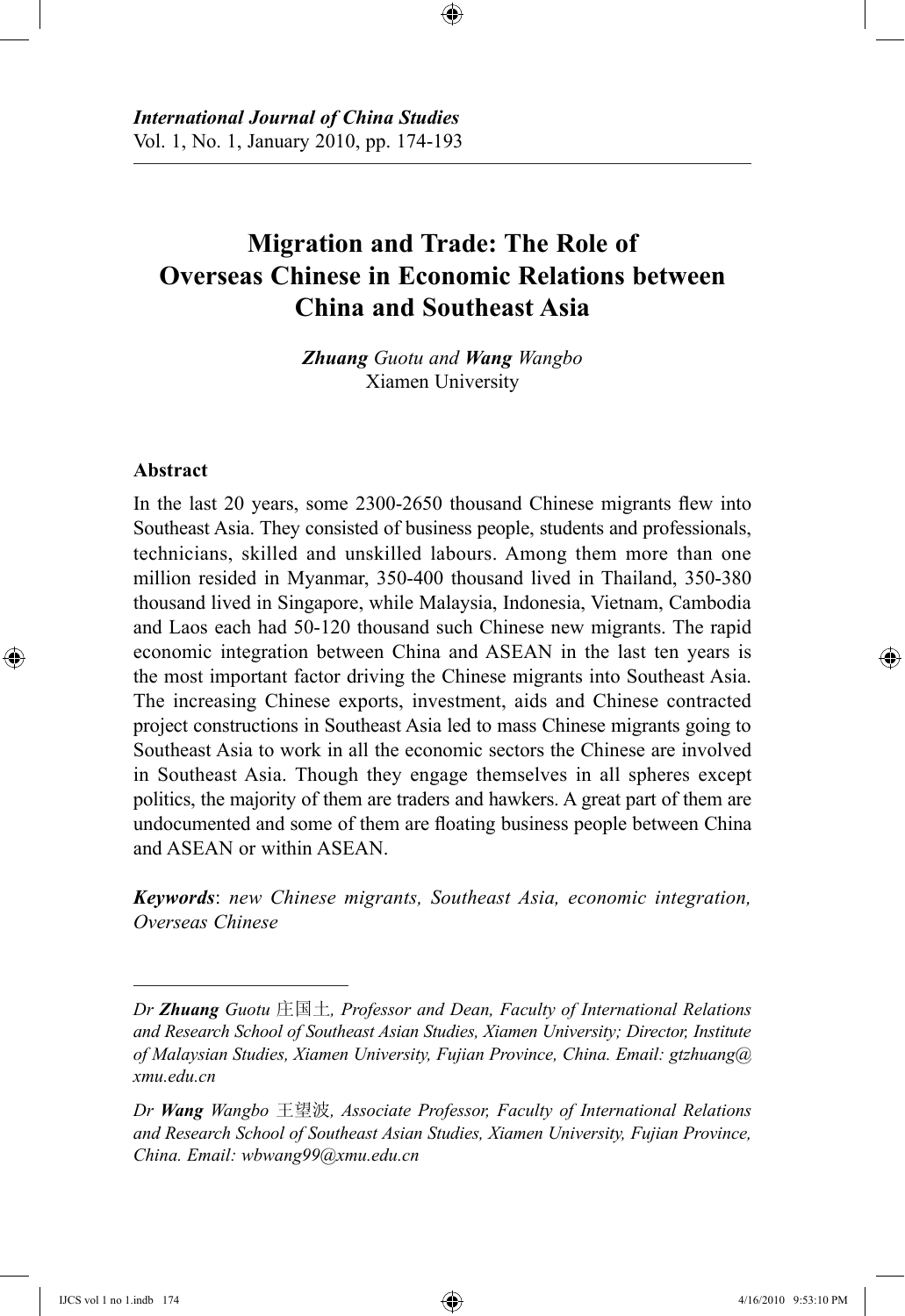# **Migration and Trade: The Role of Overseas Chinese in Economic Relations between China and Southeast Asia**

⊕

*Zhuang Guotu and Wang Wangbo* Xiamen University

#### **Abstract**

⊕

In the last 20 years, some 2300-2650 thousand Chinese migrants flew into Southeast Asia. They consisted of business people, students and professionals, technicians, skilled and unskilled labours. Among them more than one million resided in Myanmar, 350-400 thousand lived in Thailand, 350-380 thousand lived in Singapore, while Malaysia, Indonesia, Vietnam, Cambodia and Laos each had 50-120 thousand such Chinese new migrants. The rapid economic integration between China and ASEAN in the last ten years is the most important factor driving the Chinese migrants into Southeast Asia. The increasing Chinese exports, investment, aids and Chinese contracted project constructions in Southeast Asia led to mass Chinese migrants going to Southeast Asia to work in all the economic sectors the Chinese are involved in Southeast Asia. Though they engage themselves in all spheres except politics, the majority of them are traders and hawkers. A great part of them are undocumented and some of them are floating business people between China and ASEAN or within ASEAN.

*Keywords*: *new Chinese migrants, Southeast Asia, economic integration, Overseas Chinese*

↔

*Dr Zhuang Guotu* 庄国土*, Professor and Dean, Faculty of International Relations and Research School of Southeast Asian Studies, Xiamen University; Director, Institute of Malaysian Studies, Xiamen University, Fujian Province, China. Email: gtzhuang@ xmu.edu.cn*

*Dr Wang Wangbo* 王望波*, Associate Professor, Faculty of International Relations and Research School of Southeast Asian Studies, Xiamen University, Fujian Province, China. Email: wbwang99@xmu.edu.cn*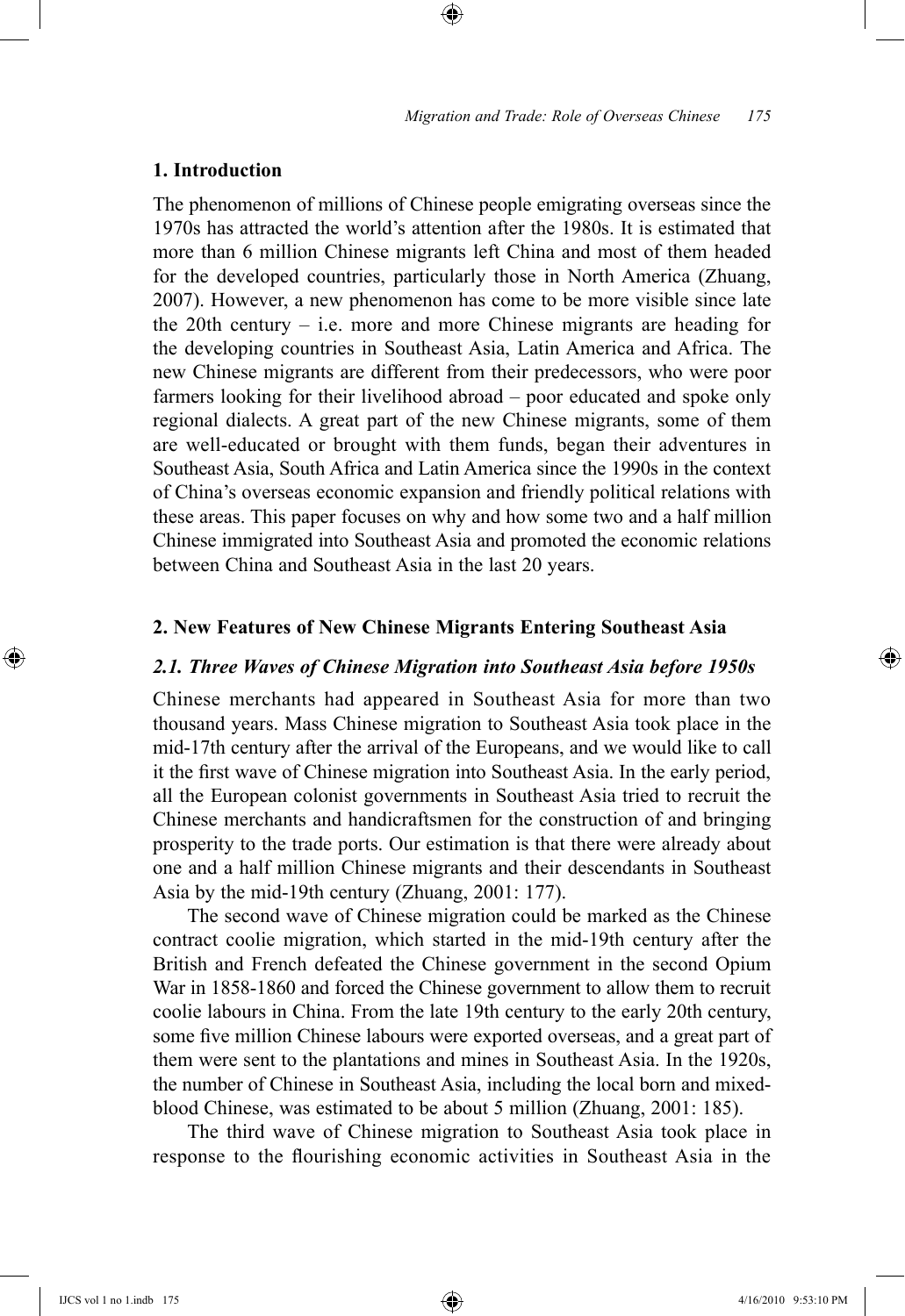## **1. Introduction**

The phenomenon of millions of Chinese people emigrating overseas since the 1970s has attracted the world's attention after the 1980s. It is estimated that more than 6 million Chinese migrants left China and most of them headed for the developed countries, particularly those in North America (Zhuang, 2007). However, a new phenomenon has come to be more visible since late the 20th century – i.e. more and more Chinese migrants are heading for the developing countries in Southeast Asia, Latin America and Africa. The new Chinese migrants are different from their predecessors, who were poor farmers looking for their livelihood abroad – poor educated and spoke only regional dialects. A great part of the new Chinese migrants, some of them are well-educated or brought with them funds, began their adventures in Southeast Asia, South Africa and Latin America since the 1990s in the context of China's overseas economic expansion and friendly political relations with these areas. This paper focuses on why and how some two and a half million Chinese immigrated into Southeast Asia and promoted the economic relations between China and Southeast Asia in the last 20 years.

⊕

#### **2. New Features of New Chinese Migrants Entering Southeast Asia**

#### *2.1. Three Waves of Chinese Migration into Southeast Asia before 1950s*

Chinese merchants had appeared in Southeast Asia for more than two thousand years. Mass Chinese migration to Southeast Asia took place in the mid-17th century after the arrival of the Europeans, and we would like to call it the first wave of Chinese migration into Southeast Asia. In the early period, all the European colonist governments in Southeast Asia tried to recruit the Chinese merchants and handicraftsmen for the construction of and bringing prosperity to the trade ports. Our estimation is that there were already about one and a half million Chinese migrants and their descendants in Southeast Asia by the mid-19th century (Zhuang, 2001: 177).

The second wave of Chinese migration could be marked as the Chinese contract coolie migration, which started in the mid-19th century after the British and French defeated the Chinese government in the second Opium War in 1858-1860 and forced the Chinese government to allow them to recruit coolie labours in China. From the late 19th century to the early 20th century, some five million Chinese labours were exported overseas, and a great part of them were sent to the plantations and mines in Southeast Asia. In the 1920s, the number of Chinese in Southeast Asia, including the local born and mixedblood Chinese, was estimated to be about 5 million (Zhuang, 2001: 185).

The third wave of Chinese migration to Southeast Asia took place in response to the flourishing economic activities in Southeast Asia in the

⊕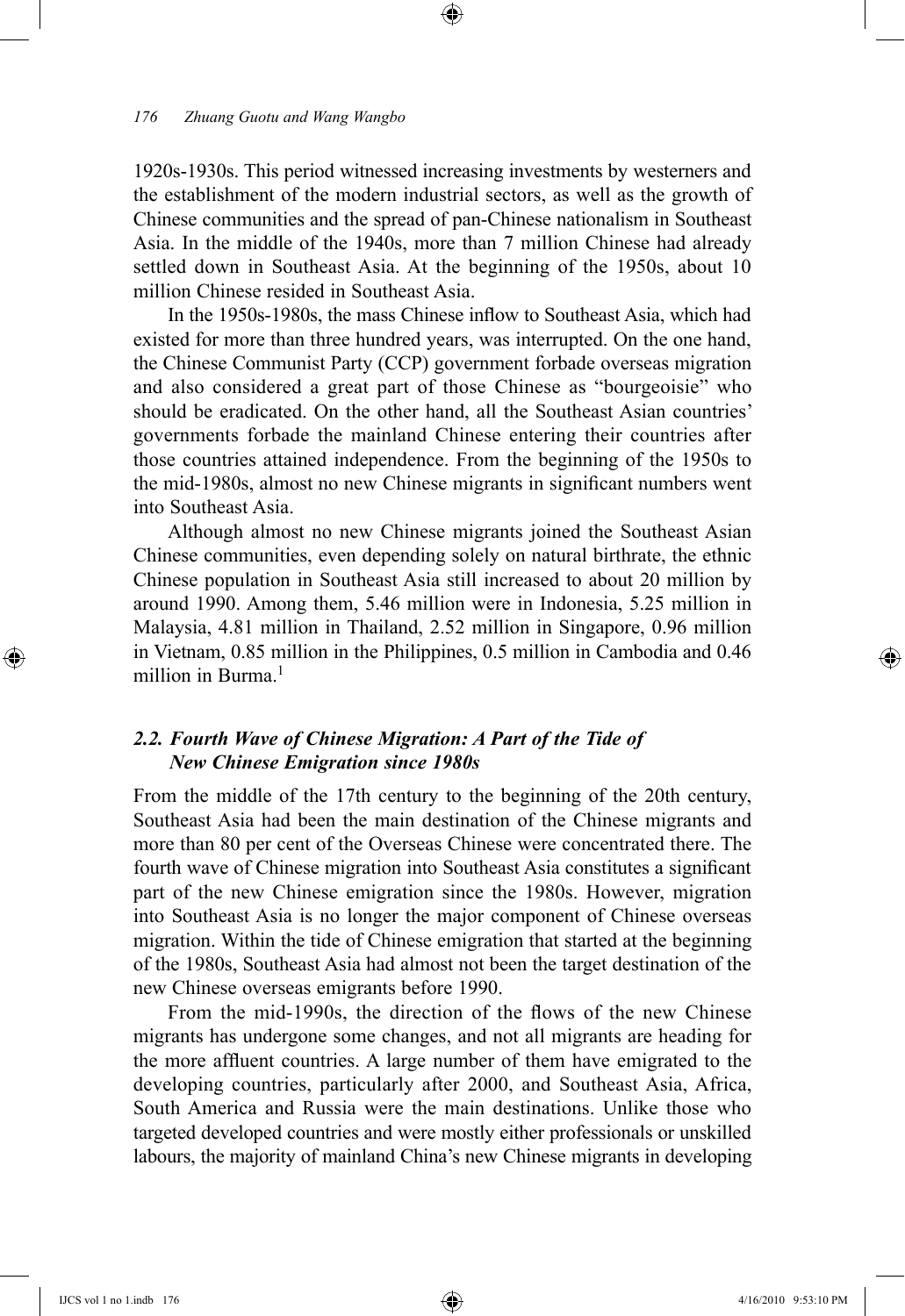1920s-1930s. This period witnessed increasing investments by westerners and the establishment of the modern industrial sectors, as well as the growth of Chinese communities and the spread of pan-Chinese nationalism in Southeast Asia. In the middle of the 1940s, more than 7 million Chinese had already settled down in Southeast Asia. At the beginning of the 1950s, about 10 million Chinese resided in Southeast Asia.

⊕

In the 1950s-1980s, the mass Chinese inflow to Southeast Asia, which had existed for more than three hundred years, was interrupted. On the one hand, the Chinese Communist Party (CCP) government forbade overseas migration and also considered a great part of those Chinese as "bourgeoisie" who should be eradicated. On the other hand, all the Southeast Asian countries' governments forbade the mainland Chinese entering their countries after those countries attained independence. From the beginning of the 1950s to the mid-1980s, almost no new Chinese migrants in significant numbers went into Southeast Asia.

Although almost no new Chinese migrants joined the Southeast Asian Chinese communities, even depending solely on natural birthrate, the ethnic Chinese population in Southeast Asia still increased to about 20 million by around 1990. Among them, 5.46 million were in Indonesia, 5.25 million in Malaysia, 4.81 million in Thailand, 2.52 million in Singapore, 0.96 million in Vietnam, 0.85 million in the Philippines, 0.5 million in Cambodia and 0.46 million in Burma $<sup>1</sup>$ </sup>

# *2.2. Fourth Wave of Chinese Migration: A Part of the Tide of New Chinese Emigration since 1980s*

From the middle of the 17th century to the beginning of the 20th century, Southeast Asia had been the main destination of the Chinese migrants and more than 80 per cent of the Overseas Chinese were concentrated there. The fourth wave of Chinese migration into Southeast Asia constitutes a significant part of the new Chinese emigration since the 1980s. However, migration into Southeast Asia is no longer the major component of Chinese overseas migration. Within the tide of Chinese emigration that started at the beginning of the 1980s, Southeast Asia had almost not been the target destination of the new Chinese overseas emigrants before 1990.

From the mid-1990s, the direction of the flows of the new Chinese migrants has undergone some changes, and not all migrants are heading for the more affluent countries. A large number of them have emigrated to the developing countries, particularly after 2000, and Southeast Asia, Africa, South America and Russia were the main destinations. Unlike those who targeted developed countries and were mostly either professionals or unskilled labours, the majority of mainland China's new Chinese migrants in developing

⊕

↔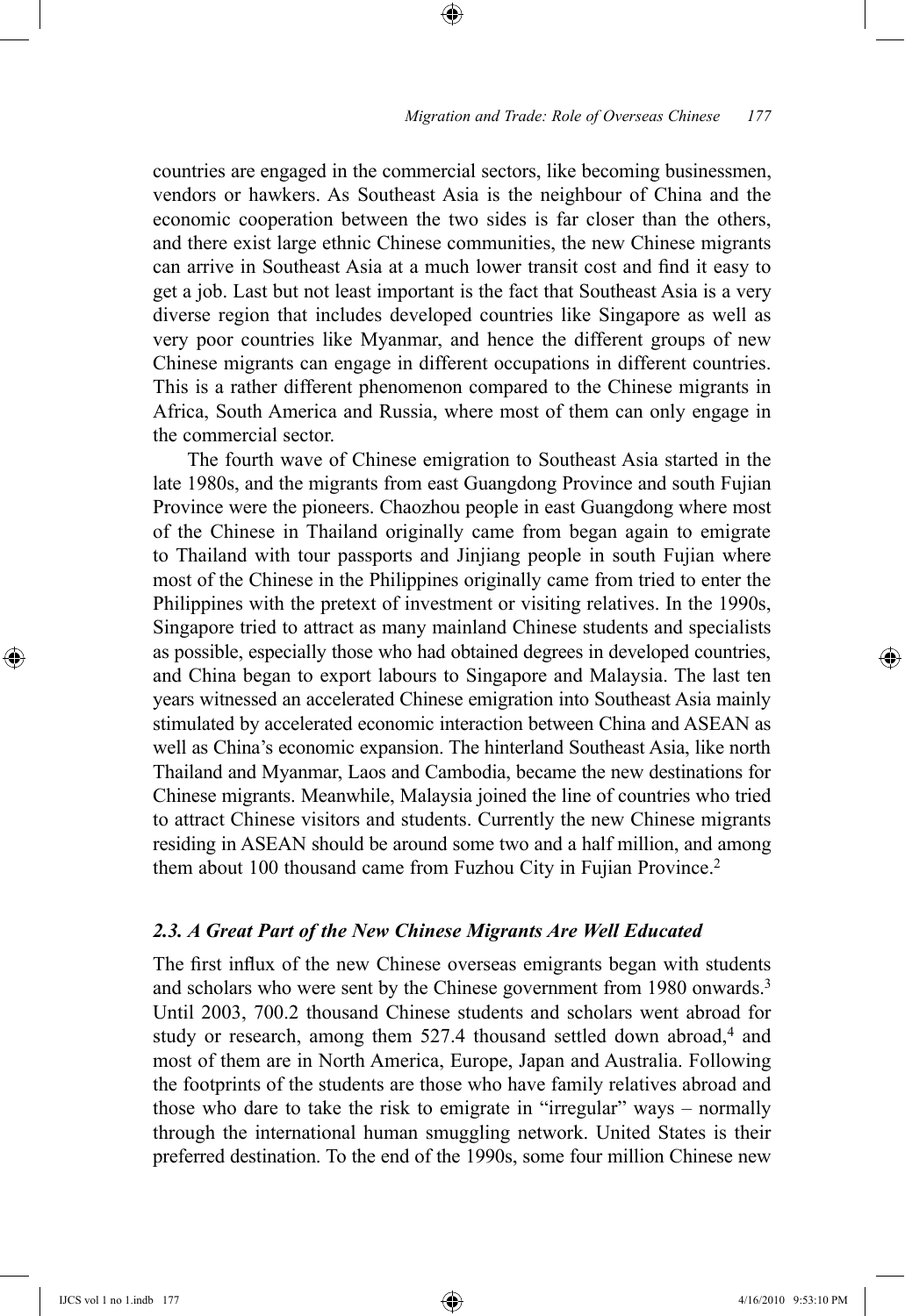countries are engaged in the commercial sectors, like becoming businessmen, vendors or hawkers. As Southeast Asia is the neighbour of China and the economic cooperation between the two sides is far closer than the others, and there exist large ethnic Chinese communities, the new Chinese migrants can arrive in Southeast Asia at a much lower transit cost and find it easy to get a job. Last but not least important is the fact that Southeast Asia is a very diverse region that includes developed countries like Singapore as well as very poor countries like Myanmar, and hence the different groups of new Chinese migrants can engage in different occupations in different countries. This is a rather different phenomenon compared to the Chinese migrants in Africa, South America and Russia, where most of them can only engage in the commercial sector.

⊕

The fourth wave of Chinese emigration to Southeast Asia started in the late 1980s, and the migrants from east Guangdong Province and south Fujian Province were the pioneers. Chaozhou people in east Guangdong where most of the Chinese in Thailand originally came from began again to emigrate to Thailand with tour passports and Jinjiang people in south Fujian where most of the Chinese in the Philippines originally came from tried to enter the Philippines with the pretext of investment or visiting relatives. In the 1990s, Singapore tried to attract as many mainland Chinese students and specialists as possible, especially those who had obtained degrees in developed countries, and China began to export labours to Singapore and Malaysia. The last ten years witnessed an accelerated Chinese emigration into Southeast Asia mainly stimulated by accelerated economic interaction between China and ASEAN as well as China's economic expansion. The hinterland Southeast Asia, like north Thailand and Myanmar, Laos and Cambodia, became the new destinations for Chinese migrants. Meanwhile, Malaysia joined the line of countries who tried to attract Chinese visitors and students. Currently the new Chinese migrants residing in ASEAN should be around some two and a half million, and among them about 100 thousand came from Fuzhou City in Fujian Province.2

#### *2.3. A Great Part of the New Chinese Migrants Are Well Educated*

The first influx of the new Chinese overseas emigrants began with students and scholars who were sent by the Chinese government from 1980 onwards.<sup>3</sup> Until 2003, 700.2 thousand Chinese students and scholars went abroad for study or research, among them 527.4 thousand settled down abroad,<sup>4</sup> and most of them are in North America, Europe, Japan and Australia. Following the footprints of the students are those who have family relatives abroad and those who dare to take the risk to emigrate in "irregular" ways – normally through the international human smuggling network. United States is their preferred destination. To the end of the 1990s, some four million Chinese new

IJCS vol 1 no 1.indb 177 4/16/2010 9:53:10 PM

⊕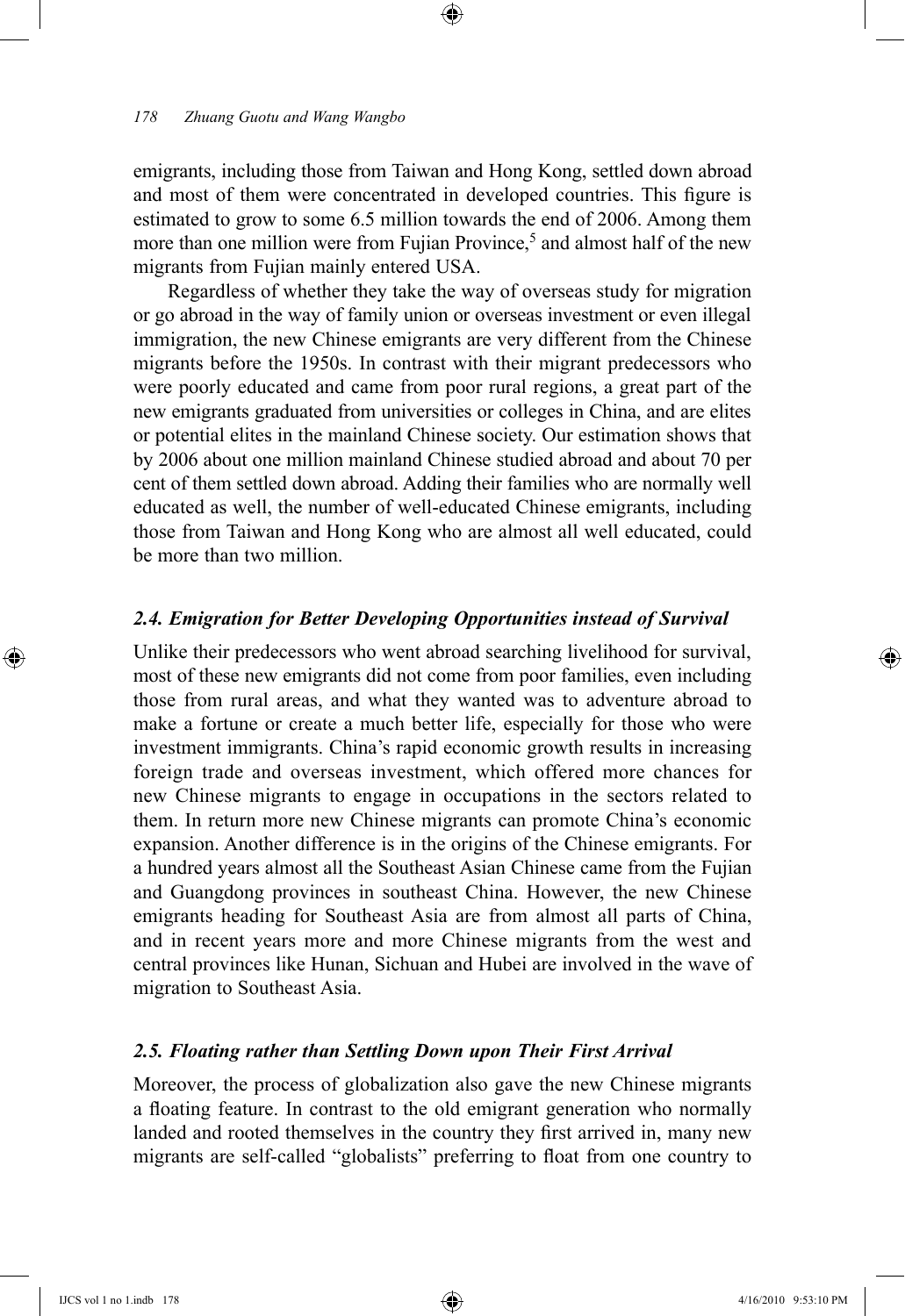emigrants, including those from Taiwan and Hong Kong, settled down abroad and most of them were concentrated in developed countries. This figure is estimated to grow to some 6.5 million towards the end of 2006. Among them more than one million were from Fujian Province,<sup>5</sup> and almost half of the new migrants from Fujian mainly entered USA.

⊕

Regardless of whether they take the way of overseas study for migration or go abroad in the way of family union or overseas investment or even illegal immigration, the new Chinese emigrants are very different from the Chinese migrants before the 1950s. In contrast with their migrant predecessors who were poorly educated and came from poor rural regions, a great part of the new emigrants graduated from universities or colleges in China, and are elites or potential elites in the mainland Chinese society. Our estimation shows that by 2006 about one million mainland Chinese studied abroad and about 70 per cent of them settled down abroad. Adding their families who are normally well educated as well, the number of well-educated Chinese emigrants, including those from Taiwan and Hong Kong who are almost all well educated, could be more than two million.

## *2.4. Emigration for Better Developing Opportunities instead of Survival*

Unlike their predecessors who went abroad searching livelihood for survival, most of these new emigrants did not come from poor families, even including those from rural areas, and what they wanted was to adventure abroad to make a fortune or create a much better life, especially for those who were investment immigrants. China's rapid economic growth results in increasing foreign trade and overseas investment, which offered more chances for new Chinese migrants to engage in occupations in the sectors related to them. In return more new Chinese migrants can promote China's economic expansion. Another difference is in the origins of the Chinese emigrants. For a hundred years almost all the Southeast Asian Chinese came from the Fujian and Guangdong provinces in southeast China. However, the new Chinese emigrants heading for Southeast Asia are from almost all parts of China, and in recent years more and more Chinese migrants from the west and central provinces like Hunan, Sichuan and Hubei are involved in the wave of migration to Southeast Asia.

# *2.5. Floating rather than Settling Down upon Their First Arrival*

Moreover, the process of globalization also gave the new Chinese migrants a floating feature. In contrast to the old emigrant generation who normally landed and rooted themselves in the country they first arrived in, many new migrants are self-called "globalists" preferring to float from one country to

⊕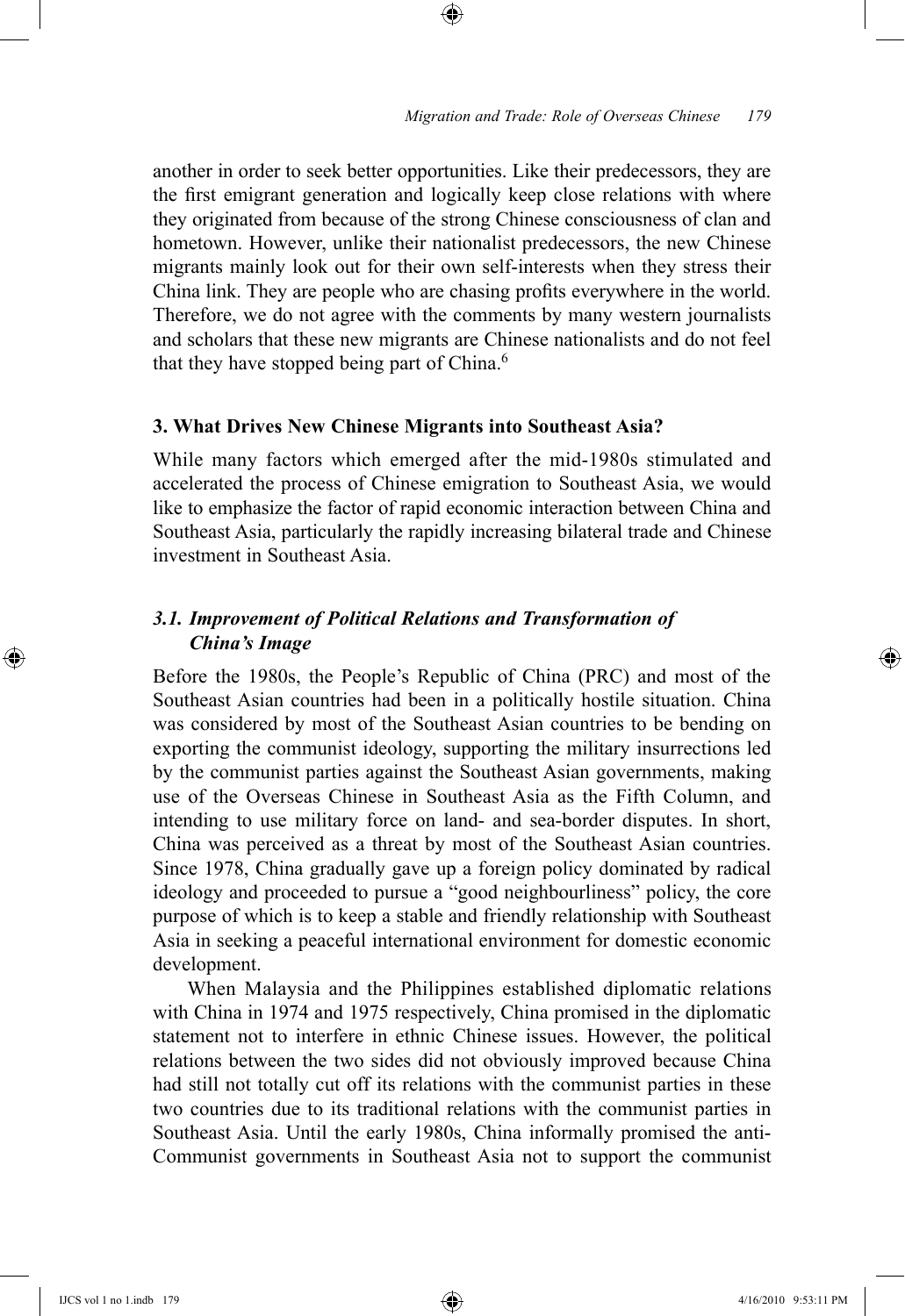another in order to seek better opportunities. Like their predecessors, they are the first emigrant generation and logically keep close relations with where they originated from because of the strong Chinese consciousness of clan and hometown. However, unlike their nationalist predecessors, the new Chinese migrants mainly look out for their own self-interests when they stress their China link. They are people who are chasing profits everywhere in the world. Therefore, we do not agree with the comments by many western journalists and scholars that these new migrants are Chinese nationalists and do not feel that they have stopped being part of China.<sup>6</sup>

⊕

# **3. What Drives New Chinese Migrants into Southeast Asia?**

While many factors which emerged after the mid-1980s stimulated and accelerated the process of Chinese emigration to Southeast Asia, we would like to emphasize the factor of rapid economic interaction between China and Southeast Asia, particularly the rapidly increasing bilateral trade and Chinese investment in Southeast Asia.

# *3.1. Improvement of Political Relations and Transformation of China's Image*

Before the 1980s, the People's Republic of China (PRC) and most of the Southeast Asian countries had been in a politically hostile situation. China was considered by most of the Southeast Asian countries to be bending on exporting the communist ideology, supporting the military insurrections led by the communist parties against the Southeast Asian governments, making use of the Overseas Chinese in Southeast Asia as the Fifth Column, and intending to use military force on land- and sea-border disputes. In short, China was perceived as a threat by most of the Southeast Asian countries. Since 1978, China gradually gave up a foreign policy dominated by radical ideology and proceeded to pursue a "good neighbourliness" policy, the core purpose of which is to keep a stable and friendly relationship with Southeast Asia in seeking a peaceful international environment for domestic economic development.

When Malaysia and the Philippines established diplomatic relations with China in 1974 and 1975 respectively, China promised in the diplomatic statement not to interfere in ethnic Chinese issues. However, the political relations between the two sides did not obviously improved because China had still not totally cut off its relations with the communist parties in these two countries due to its traditional relations with the communist parties in Southeast Asia. Until the early 1980s, China informally promised the anti-Communist governments in Southeast Asia not to support the communist

⊕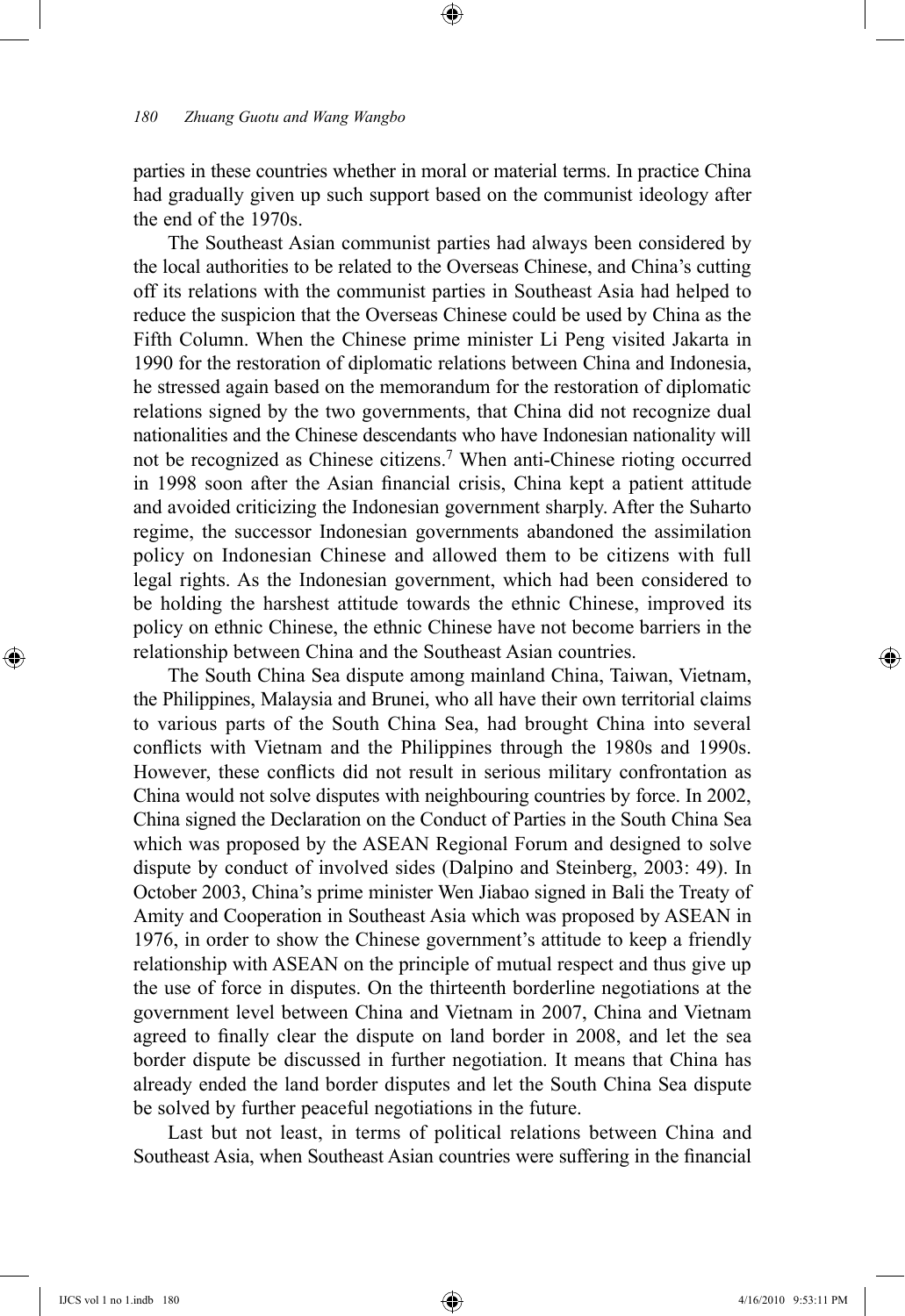parties in these countries whether in moral or material terms. In practice China had gradually given up such support based on the communist ideology after the end of the 1970s.

⊕

The Southeast Asian communist parties had always been considered by the local authorities to be related to the Overseas Chinese, and China's cutting off its relations with the communist parties in Southeast Asia had helped to reduce the suspicion that the Overseas Chinese could be used by China as the Fifth Column. When the Chinese prime minister Li Peng visited Jakarta in 1990 for the restoration of diplomatic relations between China and Indonesia, he stressed again based on the memorandum for the restoration of diplomatic relations signed by the two governments, that China did not recognize dual nationalities and the Chinese descendants who have Indonesian nationality will not be recognized as Chinese citizens.7 When anti-Chinese rioting occurred in 1998 soon after the Asian financial crisis, China kept a patient attitude and avoided criticizing the Indonesian government sharply. After the Suharto regime, the successor Indonesian governments abandoned the assimilation policy on Indonesian Chinese and allowed them to be citizens with full legal rights. As the Indonesian government, which had been considered to be holding the harshest attitude towards the ethnic Chinese, improved its policy on ethnic Chinese, the ethnic Chinese have not become barriers in the relationship between China and the Southeast Asian countries.

The South China Sea dispute among mainland China, Taiwan, Vietnam, the Philippines, Malaysia and Brunei, who all have their own territorial claims to various parts of the South China Sea, had brought China into several conflicts with Vietnam and the Philippines through the 1980s and 1990s. However, these conflicts did not result in serious military confrontation as China would not solve disputes with neighbouring countries by force. In 2002, China signed the Declaration on the Conduct of Parties in the South China Sea which was proposed by the ASEAN Regional Forum and designed to solve dispute by conduct of involved sides (Dalpino and Steinberg, 2003: 49). In October 2003, China's prime minister Wen Jiabao signed in Bali the Treaty of Amity and Cooperation in Southeast Asia which was proposed by ASEAN in 1976, in order to show the Chinese government's attitude to keep a friendly relationship with ASEAN on the principle of mutual respect and thus give up the use of force in disputes. On the thirteenth borderline negotiations at the government level between China and Vietnam in 2007, China and Vietnam agreed to finally clear the dispute on land border in 2008, and let the sea border dispute be discussed in further negotiation. It means that China has already ended the land border disputes and let the South China Sea dispute be solved by further peaceful negotiations in the future.

Last but not least, in terms of political relations between China and Southeast Asia, when Southeast Asian countries were suffering in the financial

⊕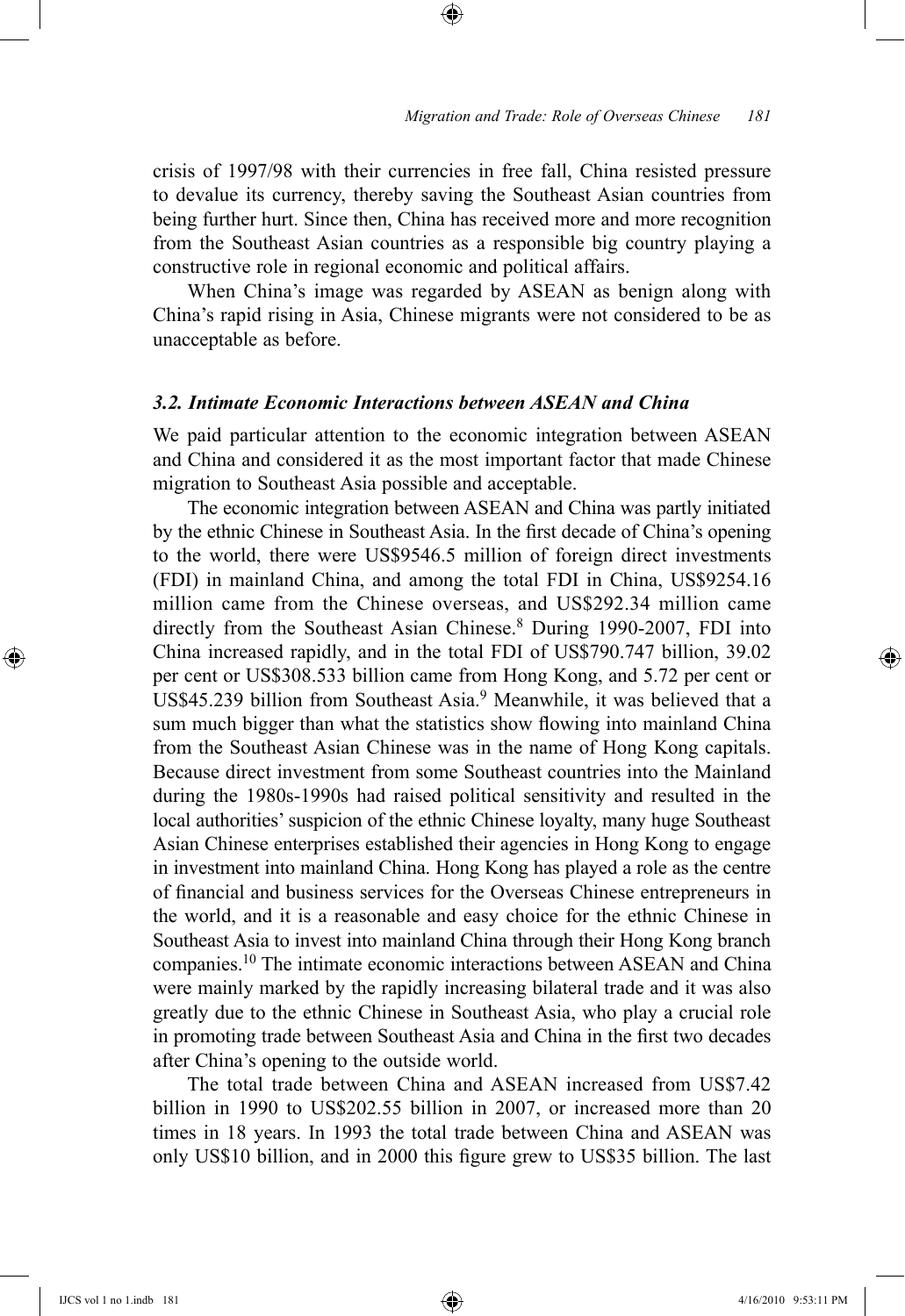crisis of 1997/98 with their currencies in free fall, China resisted pressure to devalue its currency, thereby saving the Southeast Asian countries from being further hurt. Since then, China has received more and more recognition from the Southeast Asian countries as a responsible big country playing a constructive role in regional economic and political affairs.

⊕

When China's image was regarded by ASEAN as benign along with China's rapid rising in Asia, Chinese migrants were not considered to be as unacceptable as before.

# *3.2. Intimate Economic Interactions between ASEAN and China*

We paid particular attention to the economic integration between ASEAN and China and considered it as the most important factor that made Chinese migration to Southeast Asia possible and acceptable.

The economic integration between ASEAN and China was partly initiated by the ethnic Chinese in Southeast Asia. In the first decade of China's opening to the world, there were US\$9546.5 million of foreign direct investments (FDI) in mainland China, and among the total FDI in China, US\$9254.16 million came from the Chinese overseas, and US\$292.34 million came directly from the Southeast Asian Chinese.<sup>8</sup> During 1990-2007, FDI into China increased rapidly, and in the total FDI of US\$790.747 billion, 39.02 per cent or US\$308.533 billion came from Hong Kong, and 5.72 per cent or US\$45.239 billion from Southeast Asia.<sup>9</sup> Meanwhile, it was believed that a sum much bigger than what the statistics show flowing into mainland China from the Southeast Asian Chinese was in the name of Hong Kong capitals. Because direct investment from some Southeast countries into the Mainland during the 1980s-1990s had raised political sensitivity and resulted in the local authorities' suspicion of the ethnic Chinese loyalty, many huge Southeast Asian Chinese enterprises established their agencies in Hong Kong to engage in investment into mainland China. Hong Kong has played a role as the centre of financial and business services for the Overseas Chinese entrepreneurs in the world, and it is a reasonable and easy choice for the ethnic Chinese in Southeast Asia to invest into mainland China through their Hong Kong branch companies.10 The intimate economic interactions between ASEAN and China were mainly marked by the rapidly increasing bilateral trade and it was also greatly due to the ethnic Chinese in Southeast Asia, who play a crucial role in promoting trade between Southeast Asia and China in the first two decades after China's opening to the outside world.

The total trade between China and ASEAN increased from US\$7.42 billion in 1990 to US\$202.55 billion in 2007, or increased more than 20 times in 18 years. In 1993 the total trade between China and ASEAN was only US\$10 billion, and in 2000 this figure grew to US\$35 billion. The last

⊕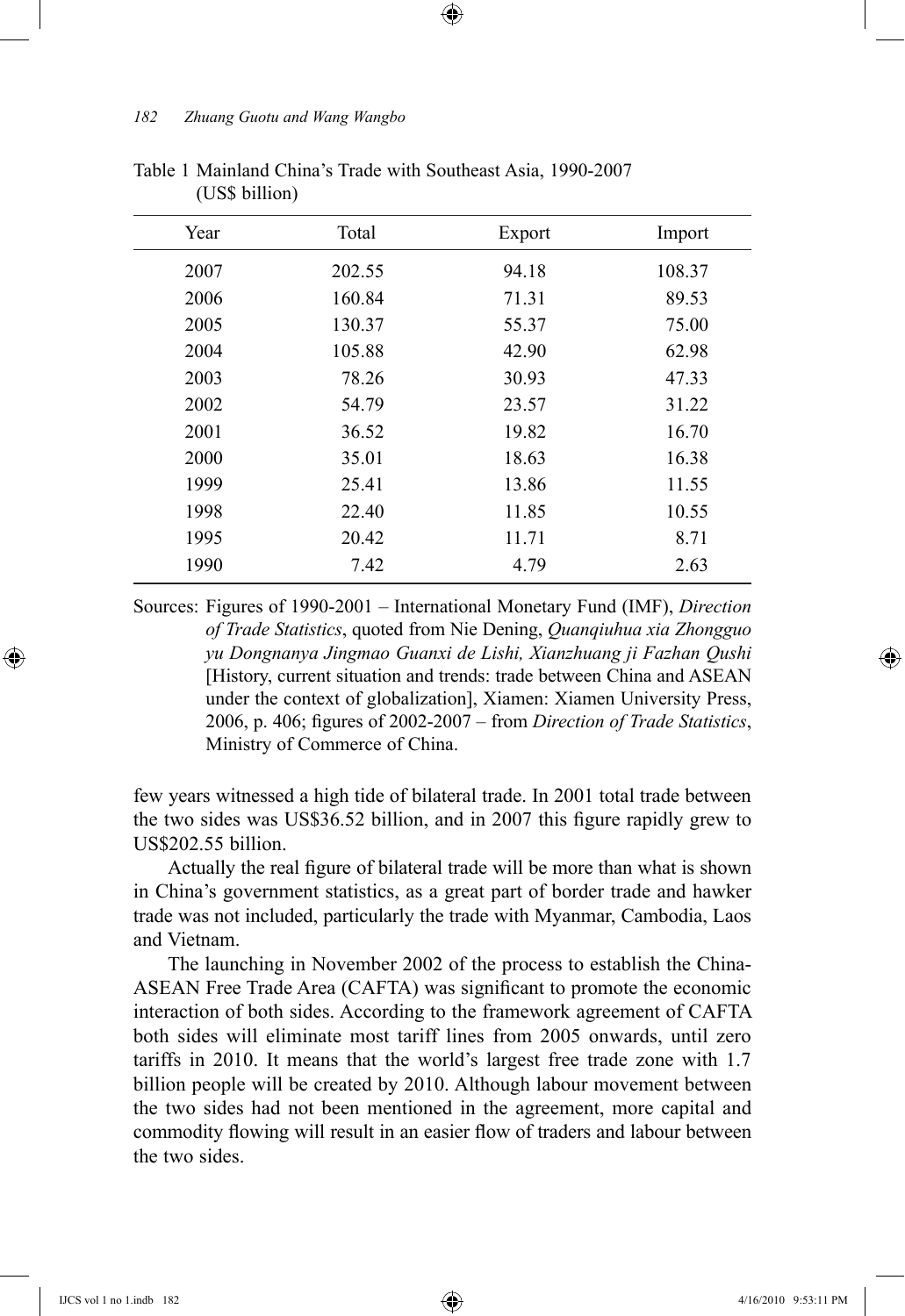| Year | Total  | Export | Import |
|------|--------|--------|--------|
| 2007 | 202.55 | 94.18  | 108.37 |
| 2006 | 160.84 | 71.31  | 89.53  |
| 2005 | 130.37 | 55.37  | 75.00  |
| 2004 | 105.88 | 42.90  | 62.98  |
| 2003 | 78.26  | 30.93  | 47.33  |
| 2002 | 54.79  | 23.57  | 31.22  |
| 2001 | 36.52  | 19.82  | 16.70  |
| 2000 | 35.01  | 18.63  | 16.38  |
| 1999 | 25.41  | 13.86  | 11.55  |
| 1998 | 22.40  | 11.85  | 10.55  |
| 1995 | 20.42  | 11.71  | 8.71   |
| 1990 | 7.42   | 4.79   | 2.63   |

⊕

Table 1 Mainland China's Trade with Southeast Asia, 1990-2007 (US\$ billion)

Sources: Figures of 1990-2001 – International Monetary Fund (IMF), *Direction of Trade Statistics*, quoted from Nie Dening, *Quanqiuhua xia Zhongguo yu Dongnanya Jingmao Guanxi de Lishi, Xianzhuang ji Fazhan Qushi*  [History, current situation and trends: trade between China and ASEAN under the context of globalization], Xiamen: Xiamen University Press, 2006, p. 406; figures of 2002-2007 – from *Direction of Trade Statistics*, Ministry of Commerce of China.

few years witnessed a high tide of bilateral trade. In 2001 total trade between the two sides was US\$36.52 billion, and in 2007 this figure rapidly grew to US\$202.55 billion.

Actually the real figure of bilateral trade will be more than what is shown in China's government statistics, as a great part of border trade and hawker trade was not included, particularly the trade with Myanmar, Cambodia, Laos and Vietnam.

The launching in November 2002 of the process to establish the China-ASEAN Free Trade Area (CAFTA) was significant to promote the economic interaction of both sides. According to the framework agreement of CAFTA both sides will eliminate most tariff lines from 2005 onwards, until zero tariffs in 2010. It means that the world's largest free trade zone with 1.7 billion people will be created by 2010. Although labour movement between the two sides had not been mentioned in the agreement, more capital and commodity flowing will result in an easier flow of traders and labour between the two sides.

⊕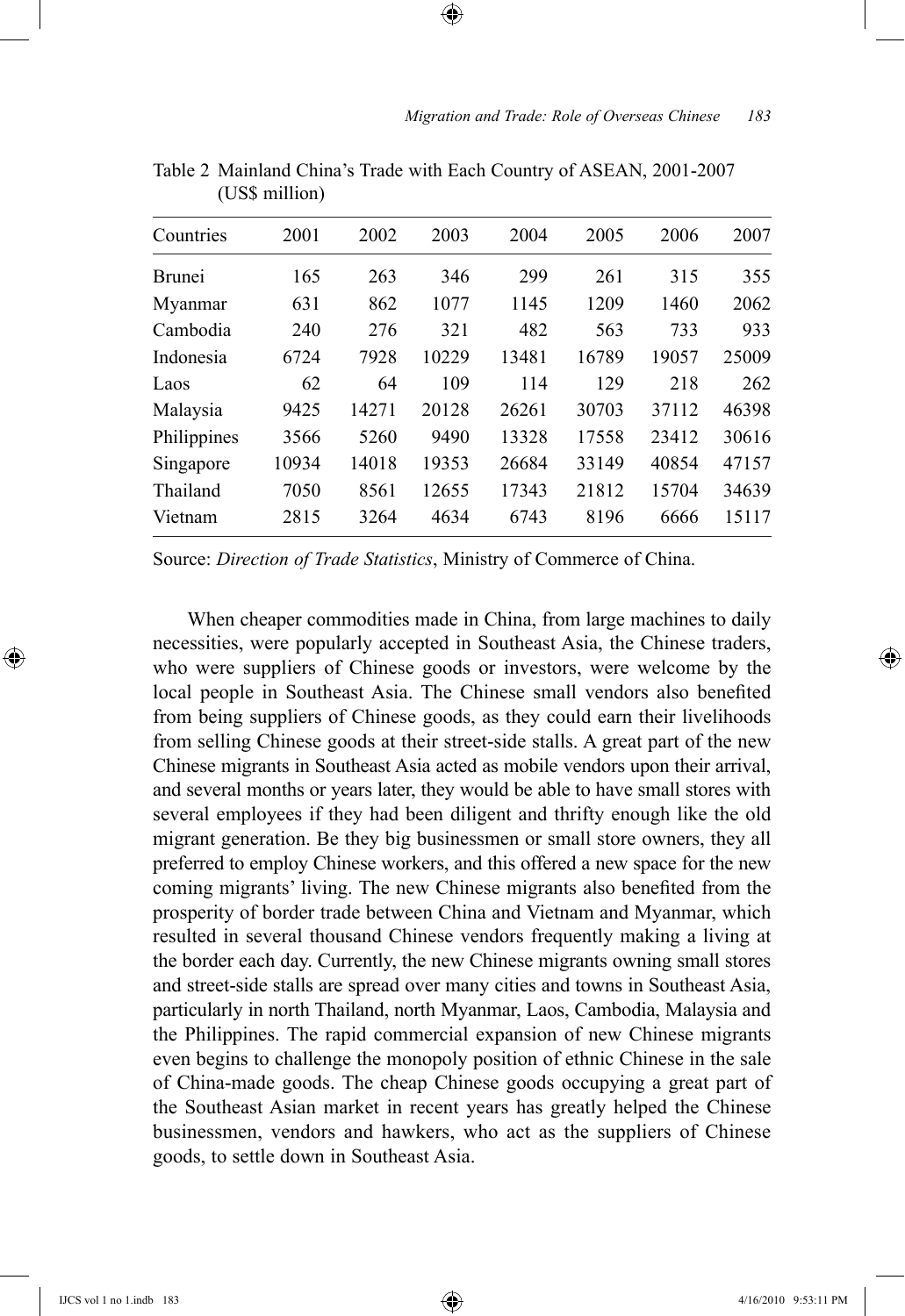| Countries     | 2001  | 2002  | 2003  | 2004  | 2005  | 2006  | 2007  |
|---------------|-------|-------|-------|-------|-------|-------|-------|
| <b>Brunei</b> | 165   | 263   | 346   | 299   | 261   | 315   | 355   |
| Myanmar       | 631   | 862   | 1077  | 1145  | 1209  | 1460  | 2062  |
| Cambodia      | 240   | 276   | 321   | 482   | 563   | 733   | 933   |
| Indonesia     | 6724  | 7928  | 10229 | 13481 | 16789 | 19057 | 25009 |
| Laos          | 62    | 64    | 109   | 114   | 129   | 218   | 262   |
| Malaysia      | 9425  | 14271 | 20128 | 26261 | 30703 | 37112 | 46398 |
| Philippines   | 3566  | 5260  | 9490  | 13328 | 17558 | 23412 | 30616 |
| Singapore     | 10934 | 14018 | 19353 | 26684 | 33149 | 40854 | 47157 |
| Thailand      | 7050  | 8561  | 12655 | 17343 | 21812 | 15704 | 34639 |
| Vietnam       | 2815  | 3264  | 4634  | 6743  | 8196  | 6666  | 15117 |

Table 2 Mainland China's Trade with Each Country of ASEAN, 2001-2007 (US\$ million)

⊕

Source: *Direction of Trade Statistics*, Ministry of Commerce of China.

When cheaper commodities made in China, from large machines to daily necessities, were popularly accepted in Southeast Asia, the Chinese traders, who were suppliers of Chinese goods or investors, were welcome by the local people in Southeast Asia. The Chinese small vendors also benefited from being suppliers of Chinese goods, as they could earn their livelihoods from selling Chinese goods at their street-side stalls. A great part of the new Chinese migrants in Southeast Asia acted as mobile vendors upon their arrival, and several months or years later, they would be able to have small stores with several employees if they had been diligent and thrifty enough like the old migrant generation. Be they big businessmen or small store owners, they all preferred to employ Chinese workers, and this offered a new space for the new coming migrants' living. The new Chinese migrants also benefited from the prosperity of border trade between China and Vietnam and Myanmar, which resulted in several thousand Chinese vendors frequently making a living at the border each day. Currently, the new Chinese migrants owning small stores and street-side stalls are spread over many cities and towns in Southeast Asia, particularly in north Thailand, north Myanmar, Laos, Cambodia, Malaysia and the Philippines. The rapid commercial expansion of new Chinese migrants even begins to challenge the monopoly position of ethnic Chinese in the sale of China-made goods. The cheap Chinese goods occupying a great part of the Southeast Asian market in recent years has greatly helped the Chinese businessmen, vendors and hawkers, who act as the suppliers of Chinese goods, to settle down in Southeast Asia.

⊕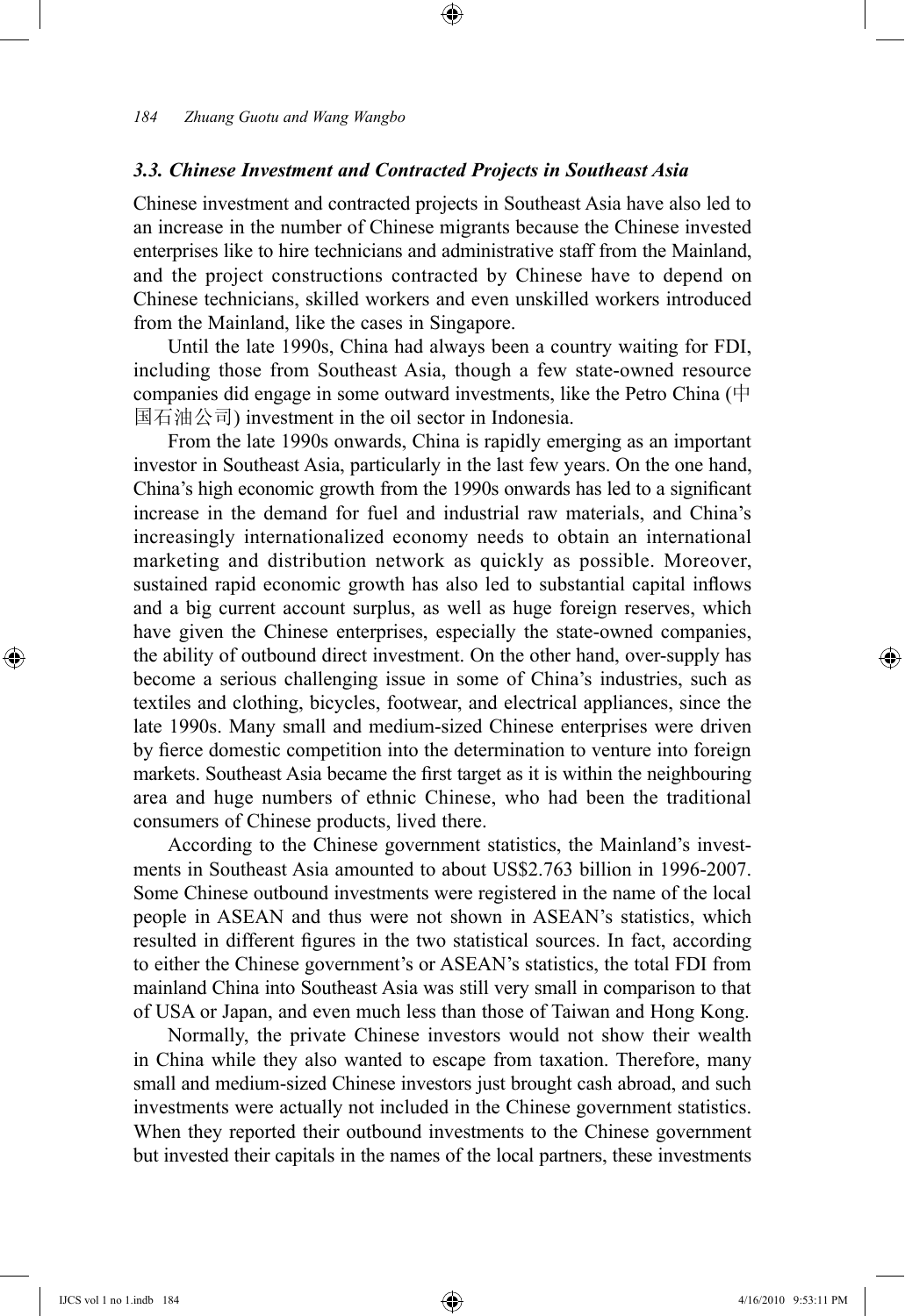## *3.3. Chinese Investment and Contracted Projects in Southeast Asia*

Chinese investment and contracted projects in Southeast Asia have also led to an increase in the number of Chinese migrants because the Chinese invested enterprises like to hire technicians and administrative staff from the Mainland, and the project constructions contracted by Chinese have to depend on Chinese technicians, skilled workers and even unskilled workers introduced from the Mainland, like the cases in Singapore.

⊕

Until the late 1990s, China had always been a country waiting for FDI, including those from Southeast Asia, though a few state-owned resource companies did engage in some outward investments, like the Petro China (中 国石油公司) investment in the oil sector in Indonesia.

From the late 1990s onwards, China is rapidly emerging as an important investor in Southeast Asia, particularly in the last few years. On the one hand, China's high economic growth from the 1990s onwards has led to a significant increase in the demand for fuel and industrial raw materials, and China's increasingly internationalized economy needs to obtain an international marketing and distribution network as quickly as possible. Moreover, sustained rapid economic growth has also led to substantial capital inflows and a big current account surplus, as well as huge foreign reserves, which have given the Chinese enterprises, especially the state-owned companies, the ability of outbound direct investment. On the other hand, over-supply has become a serious challenging issue in some of China's industries, such as textiles and clothing, bicycles, footwear, and electrical appliances, since the late 1990s. Many small and medium-sized Chinese enterprises were driven by fierce domestic competition into the determination to venture into foreign markets. Southeast Asia became the first target as it is within the neighbouring area and huge numbers of ethnic Chinese, who had been the traditional consumers of Chinese products, lived there.

According to the Chinese government statistics, the Mainland's investments in Southeast Asia amounted to about US\$2.763 billion in 1996-2007. Some Chinese outbound investments were registered in the name of the local people in ASEAN and thus were not shown in ASEAN's statistics, which resulted in different figures in the two statistical sources. In fact, according to either the Chinese government's or ASEAN's statistics, the total FDI from mainland China into Southeast Asia was still very small in comparison to that of USA or Japan, and even much less than those of Taiwan and Hong Kong.

Normally, the private Chinese investors would not show their wealth in China while they also wanted to escape from taxation. Therefore, many small and medium-sized Chinese investors just brought cash abroad, and such investments were actually not included in the Chinese government statistics. When they reported their outbound investments to the Chinese government but invested their capitals in the names of the local partners, these investments

⊕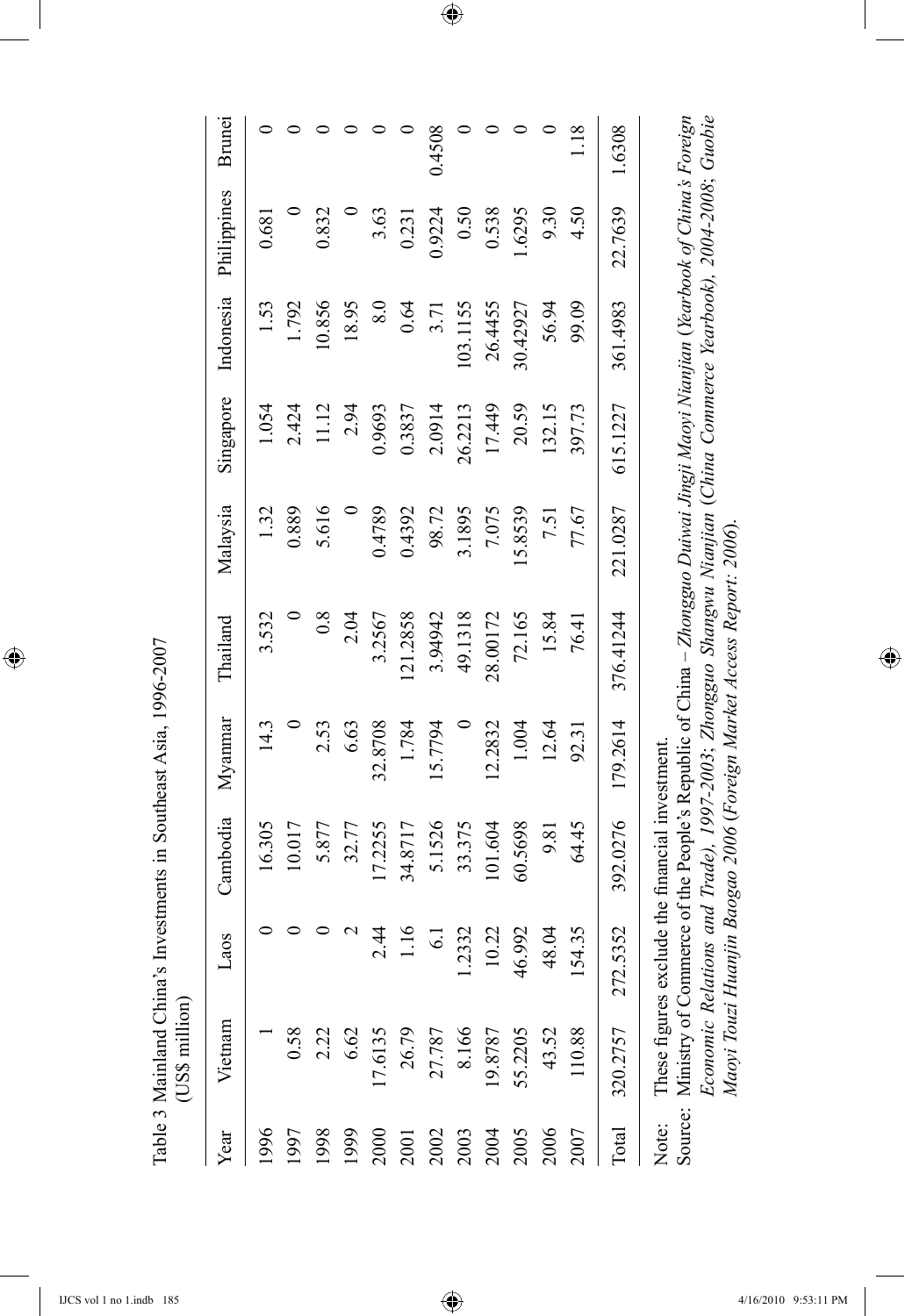Table 3 Mainland China's Investments in Southeast Asia, 1996-2007 Table 3 Mainland China's Investments in Southeast Asia, 1996-2007 (US\$ million) (US\$ million)

 $\bigoplus$ 

| Year  | Vietnam  | Laos            | Cambodia                                       | Myanmar  | Thailand                                                                                                                                                                                                                                                                                                                         | Malaysia | Singapore | Indonesia        | Philippines | Brunei         |
|-------|----------|-----------------|------------------------------------------------|----------|----------------------------------------------------------------------------------------------------------------------------------------------------------------------------------------------------------------------------------------------------------------------------------------------------------------------------------|----------|-----------|------------------|-------------|----------------|
| 1996  |          |                 | 16.305                                         | 14.3     | 3.532                                                                                                                                                                                                                                                                                                                            | 1.32     | 1.054     | 1.53             | 0.681       |                |
| 1997  | 0.58     |                 | 10.017                                         |          |                                                                                                                                                                                                                                                                                                                                  | 0.889    | 2.424     | 1.792            |             | ᅌ              |
| 1998  | 2.22     | 0               | 5.877                                          | 2.53     | 0.8                                                                                                                                                                                                                                                                                                                              | 5.616    | 11.12     | 10.856           | 0.832       | 0              |
| 1999  | 6.62     | $\mathbf 2$     | 32.77                                          | 6.63     | 2.04                                                                                                                                                                                                                                                                                                                             |          | 2.94      | 18.95            |             |                |
| 2000  | 17.6135  | 2.44            | 17.2255                                        | 32.8708  | 3.2567                                                                                                                                                                                                                                                                                                                           | 0.4789   | 0.9693    | $\overline{8.0}$ | 3.63        | 0              |
| 2001  | 26.79    | 1.16            | 34.8717                                        | 1.784    | 121.2858                                                                                                                                                                                                                                                                                                                         | 0.4392   | 0.3837    | 0.64             | 0.231       | 0              |
| 2002  | 27.787   | $\overline{61}$ | 5.1526                                         | 15.7794  | 3.94942                                                                                                                                                                                                                                                                                                                          | 98.72    | 2.0914    | 3.71             | 0.9224      | 0.4508         |
| 2003  | 8.166    | 2332            | 33.375                                         |          | 49.1318                                                                                                                                                                                                                                                                                                                          | 3.1895   | 26.2213   | 103.1155         | 0.50        | 0              |
| 2004  | 19.8787  | 10.22           | 101.604                                        | 12.2832  | 28.00172                                                                                                                                                                                                                                                                                                                         | 7.075    | 17.449    | 26.4455          | 0.538       | 0              |
| 2005  | 55.2205  | 6.992<br>न      | 60.5698                                        | 1.004    | 72.165                                                                                                                                                                                                                                                                                                                           | 5.8539   | 20.59     | 30.42927         | 1.6295      | $\circ$        |
| 2006  | 43.52    | 48.04           | 9.81                                           | 12.64    | 15.84                                                                                                                                                                                                                                                                                                                            | 7.51     | 132.15    | 56.94            | 9.30        | 0              |
| 2007  | 110.88   | 54.35           | 64.45                                          | 92.31    | 76.41                                                                                                                                                                                                                                                                                                                            | 77.67    | 397.73    | 99.09            | 4.50        | $\frac{18}{1}$ |
| Total | 320.2757 | 5352<br>272.    | 392.0276                                       | 179.2614 | 376.41244                                                                                                                                                                                                                                                                                                                        | 221.0287 | 615.1227  | 361.4983         | 22.7639     | 1.6308         |
| Note: |          |                 | These figures exclude the financial investment |          | Economic Relations and Trade), 1997-2003; Zhongguo Shangwu Nianjian (China Commerce Yearbook), 2004-2008; Guobie<br>Source: Ministry of Commerce of the People's Republic of China – Zhongguo Duiwai Jingji Maoyi Nianjian (Yearbook of China's Foreign<br>Maoyi Touzi Huanjin Baogao 2006 (Foreign Market Access Report: 2006). |          |           |                  |             |                |

 $\bigoplus$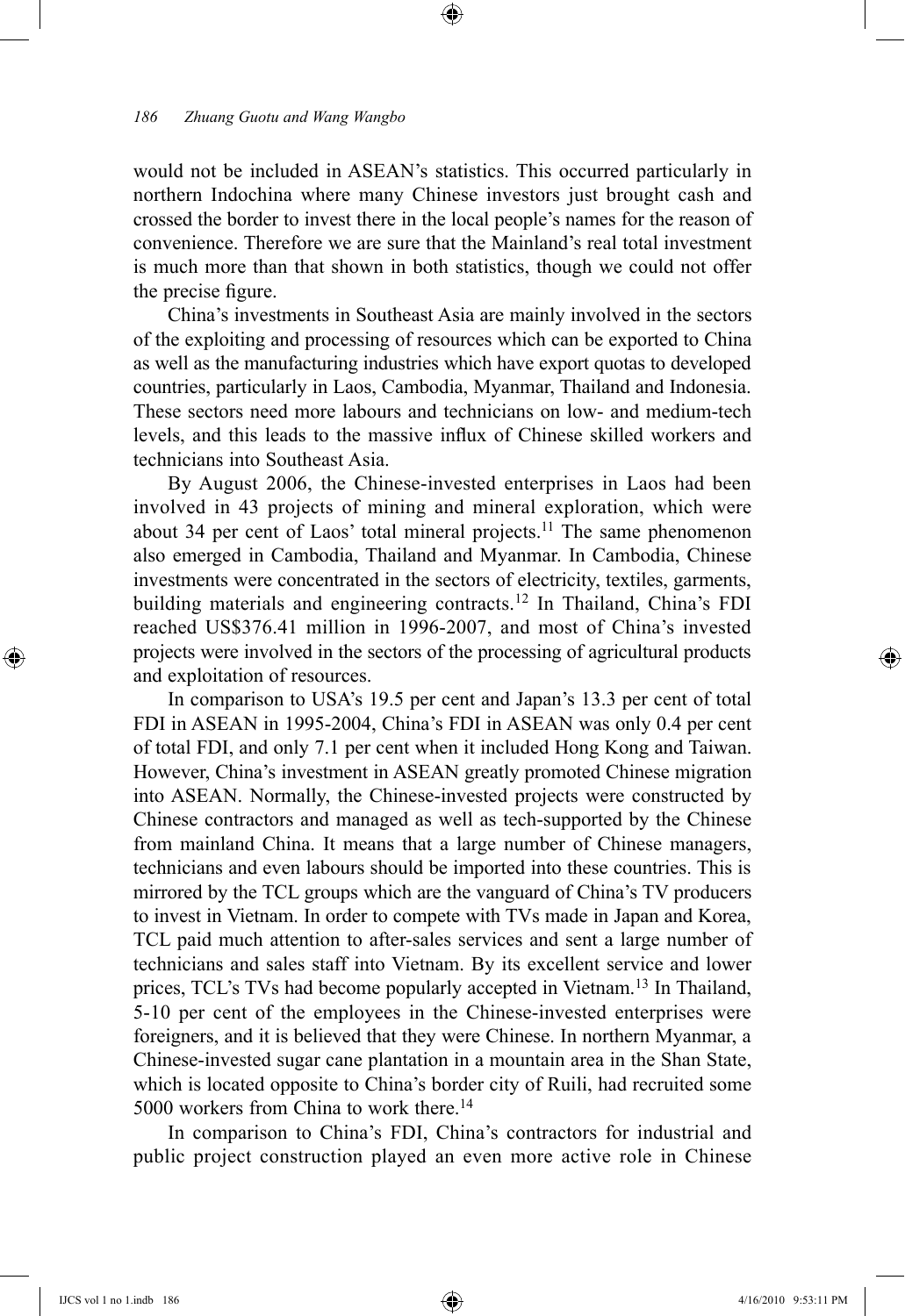would not be included in ASEAN's statistics. This occurred particularly in northern Indochina where many Chinese investors just brought cash and crossed the border to invest there in the local people's names for the reason of convenience. Therefore we are sure that the Mainland's real total investment is much more than that shown in both statistics, though we could not offer the precise figure.

⊕

China's investments in Southeast Asia are mainly involved in the sectors of the exploiting and processing of resources which can be exported to China as well as the manufacturing industries which have export quotas to developed countries, particularly in Laos, Cambodia, Myanmar, Thailand and Indonesia. These sectors need more labours and technicians on low- and medium-tech levels, and this leads to the massive influx of Chinese skilled workers and technicians into Southeast Asia.

By August 2006, the Chinese-invested enterprises in Laos had been involved in 43 projects of mining and mineral exploration, which were about 34 per cent of Laos' total mineral projects.<sup>11</sup> The same phenomenon also emerged in Cambodia, Thailand and Myanmar. In Cambodia, Chinese investments were concentrated in the sectors of electricity, textiles, garments, building materials and engineering contracts.12 In Thailand, China's FDI reached US\$376.41 million in 1996-2007, and most of China's invested projects were involved in the sectors of the processing of agricultural products and exploitation of resources.

In comparison to USA's 19.5 per cent and Japan's 13.3 per cent of total FDI in ASEAN in 1995-2004, China's FDI in ASEAN was only 0.4 per cent of total FDI, and only 7.1 per cent when it included Hong Kong and Taiwan. However, China's investment in ASEAN greatly promoted Chinese migration into ASEAN. Normally, the Chinese-invested projects were constructed by Chinese contractors and managed as well as tech-supported by the Chinese from mainland China. It means that a large number of Chinese managers, technicians and even labours should be imported into these countries. This is mirrored by the TCL groups which are the vanguard of China's TV producers to invest in Vietnam. In order to compete with TVs made in Japan and Korea, TCL paid much attention to after-sales services and sent a large number of technicians and sales staff into Vietnam. By its excellent service and lower prices, TCL's TVs had become popularly accepted in Vietnam.13 In Thailand, 5-10 per cent of the employees in the Chinese-invested enterprises were foreigners, and it is believed that they were Chinese. In northern Myanmar, a Chinese-invested sugar cane plantation in a mountain area in the Shan State, which is located opposite to China's border city of Ruili, had recruited some 5000 workers from China to work there.<sup>14</sup>

In comparison to China's FDI, China's contractors for industrial and public project construction played an even more active role in Chinese

⊕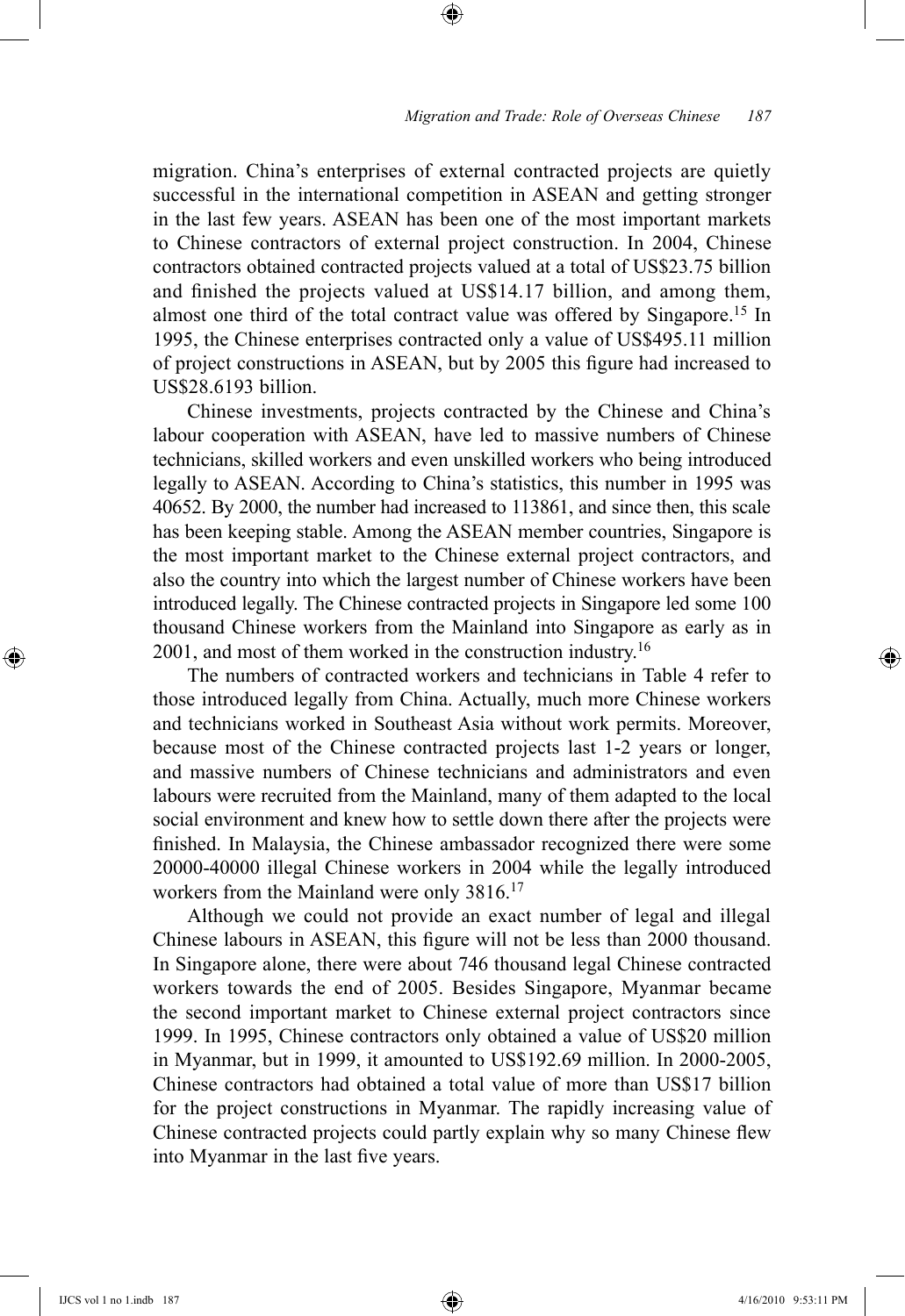migration. China's enterprises of external contracted projects are quietly successful in the international competition in ASEAN and getting stronger in the last few years. ASEAN has been one of the most important markets to Chinese contractors of external project construction. In 2004, Chinese contractors obtained contracted projects valued at a total of US\$23.75 billion and finished the projects valued at US\$14.17 billion, and among them, almost one third of the total contract value was offered by Singapore.<sup>15</sup> In 1995, the Chinese enterprises contracted only a value of US\$495.11 million of project constructions in ASEAN, but by 2005 this figure had increased to US\$28.6193 billion.

⊕

Chinese investments, projects contracted by the Chinese and China's labour cooperation with ASEAN, have led to massive numbers of Chinese technicians, skilled workers and even unskilled workers who being introduced legally to ASEAN. According to China's statistics, this number in 1995 was 40652. By 2000, the number had increased to 113861, and since then, this scale has been keeping stable. Among the ASEAN member countries, Singapore is the most important market to the Chinese external project contractors, and also the country into which the largest number of Chinese workers have been introduced legally. The Chinese contracted projects in Singapore led some 100 thousand Chinese workers from the Mainland into Singapore as early as in 2001, and most of them worked in the construction industry.16

The numbers of contracted workers and technicians in Table 4 refer to those introduced legally from China. Actually, much more Chinese workers and technicians worked in Southeast Asia without work permits. Moreover, because most of the Chinese contracted projects last 1-2 years or longer, and massive numbers of Chinese technicians and administrators and even labours were recruited from the Mainland, many of them adapted to the local social environment and knew how to settle down there after the projects were finished. In Malaysia, the Chinese ambassador recognized there were some 20000-40000 illegal Chinese workers in 2004 while the legally introduced workers from the Mainland were only 3816.<sup>17</sup>

Although we could not provide an exact number of legal and illegal Chinese labours in ASEAN, this figure will not be less than 2000 thousand. In Singapore alone, there were about 746 thousand legal Chinese contracted workers towards the end of 2005. Besides Singapore, Myanmar became the second important market to Chinese external project contractors since 1999. In 1995, Chinese contractors only obtained a value of US\$20 million in Myanmar, but in 1999, it amounted to US\$192.69 million. In 2000-2005, Chinese contractors had obtained a total value of more than US\$17 billion for the project constructions in Myanmar. The rapidly increasing value of Chinese contracted projects could partly explain why so many Chinese flew into Myanmar in the last five years.

⊕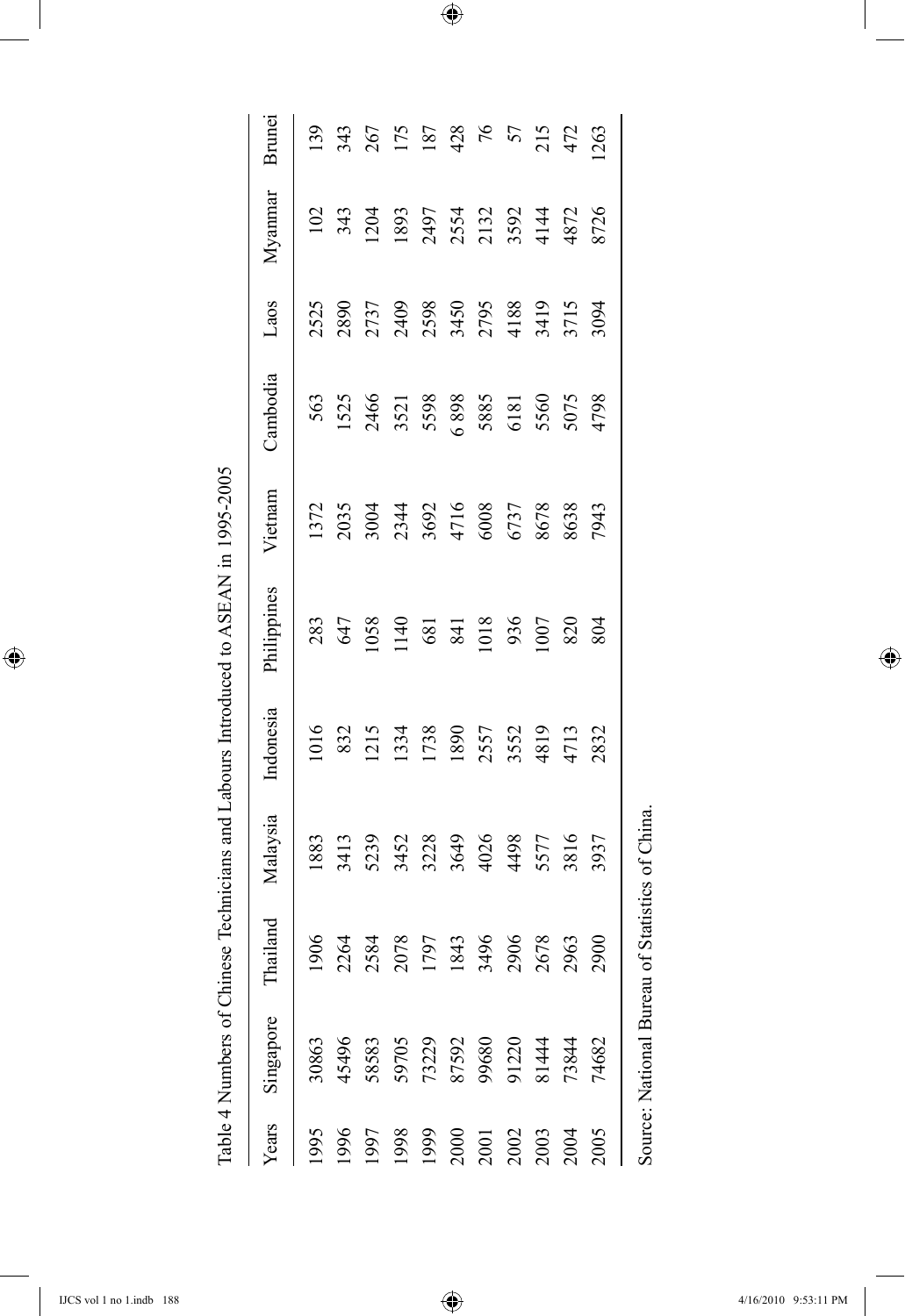|                                                                                                                       |                                                                                |                                                                    |                                                             |                                                            | lable 4 Numbers of Chinese Technicians and Labours Introduced to ASEAN in 1995-2005 |                                                                       |                                                                |                                                                        |         |                                                                |
|-----------------------------------------------------------------------------------------------------------------------|--------------------------------------------------------------------------------|--------------------------------------------------------------------|-------------------------------------------------------------|------------------------------------------------------------|-------------------------------------------------------------------------------------|-----------------------------------------------------------------------|----------------------------------------------------------------|------------------------------------------------------------------------|---------|----------------------------------------------------------------|
| <i>lears</i>                                                                                                          | Singapore                                                                      | ailand                                                             | Malaysia                                                    | Indonesia                                                  | Philippines                                                                         | Vietnam                                                               | Cambodia                                                       | Laos                                                                   | Myannar | Brunei                                                         |
|                                                                                                                       |                                                                                |                                                                    | 1883                                                        | 1016                                                       |                                                                                     |                                                                       |                                                                |                                                                        |         |                                                                |
|                                                                                                                       |                                                                                |                                                                    |                                                             |                                                            |                                                                                     |                                                                       |                                                                |                                                                        |         |                                                                |
| 1956<br>1967 88 9 9 9 0 1 1 2 3 4 5 6 7 8 9 9 9 0 1 2 6 7 8 9 9 9 0 1 2 6 7 8 9 9 9 0 1 2 6 7 8 9 9 9 0 1 2 6 7 8 9 9 | 30863<br>45496<br>58583<br>59705<br>507050<br>81444<br>81444<br>81444<br>81444 | 1906<br>2264<br>2387 879<br>2396 87906<br>2367 87906<br>2367 87906 | 3413<br>5239<br>5238<br>5328<br>557<br>557<br>5335<br>53937 | 832<br>1215 4338<br>1738 5555<br>1738 4815<br>4713<br>4713 |                                                                                     | 1372<br>2035<br>2034<br>3692<br>4716<br>60378<br>6038<br>6038<br>6038 | 563<br>1525 0 388<br>1526 0 388<br>5500 5500<br>5507 5500 4798 | 25<br>2890<br>2730 880<br>2730 888<br>2730 888<br>2730 888<br>2030 894 |         | $139$<br>$343$<br>$55$<br>$55$<br>$75$<br>$75$<br>$75$<br>$75$ |
|                                                                                                                       |                                                                                |                                                                    |                                                             |                                                            |                                                                                     |                                                                       |                                                                |                                                                        |         |                                                                |
|                                                                                                                       |                                                                                |                                                                    |                                                             |                                                            |                                                                                     |                                                                       |                                                                |                                                                        |         |                                                                |
|                                                                                                                       |                                                                                |                                                                    |                                                             |                                                            |                                                                                     |                                                                       |                                                                |                                                                        |         |                                                                |
|                                                                                                                       |                                                                                |                                                                    |                                                             |                                                            |                                                                                     |                                                                       |                                                                |                                                                        |         |                                                                |
|                                                                                                                       |                                                                                |                                                                    |                                                             |                                                            |                                                                                     |                                                                       |                                                                |                                                                        |         |                                                                |
|                                                                                                                       |                                                                                |                                                                    |                                                             |                                                            |                                                                                     |                                                                       |                                                                |                                                                        |         |                                                                |
|                                                                                                                       |                                                                                |                                                                    |                                                             |                                                            |                                                                                     |                                                                       |                                                                |                                                                        |         | 215<br>472<br>263                                              |
|                                                                                                                       |                                                                                | 2900                                                               |                                                             |                                                            |                                                                                     |                                                                       |                                                                |                                                                        |         |                                                                |
|                                                                                                                       |                                                                                |                                                                    |                                                             |                                                            |                                                                                     |                                                                       |                                                                |                                                                        |         |                                                                |

 $\bigoplus$ 

Table 4 Numbers of Chinese Technicians and Labours Introduced to ASEAN in 1995-2005

 $\overline{\phantom{a}}$ 

 $\bigoplus$ 

 $\bigoplus$ 

Source: National Bureau of Statistics of China.

Source: National Bureau of Statistics of China.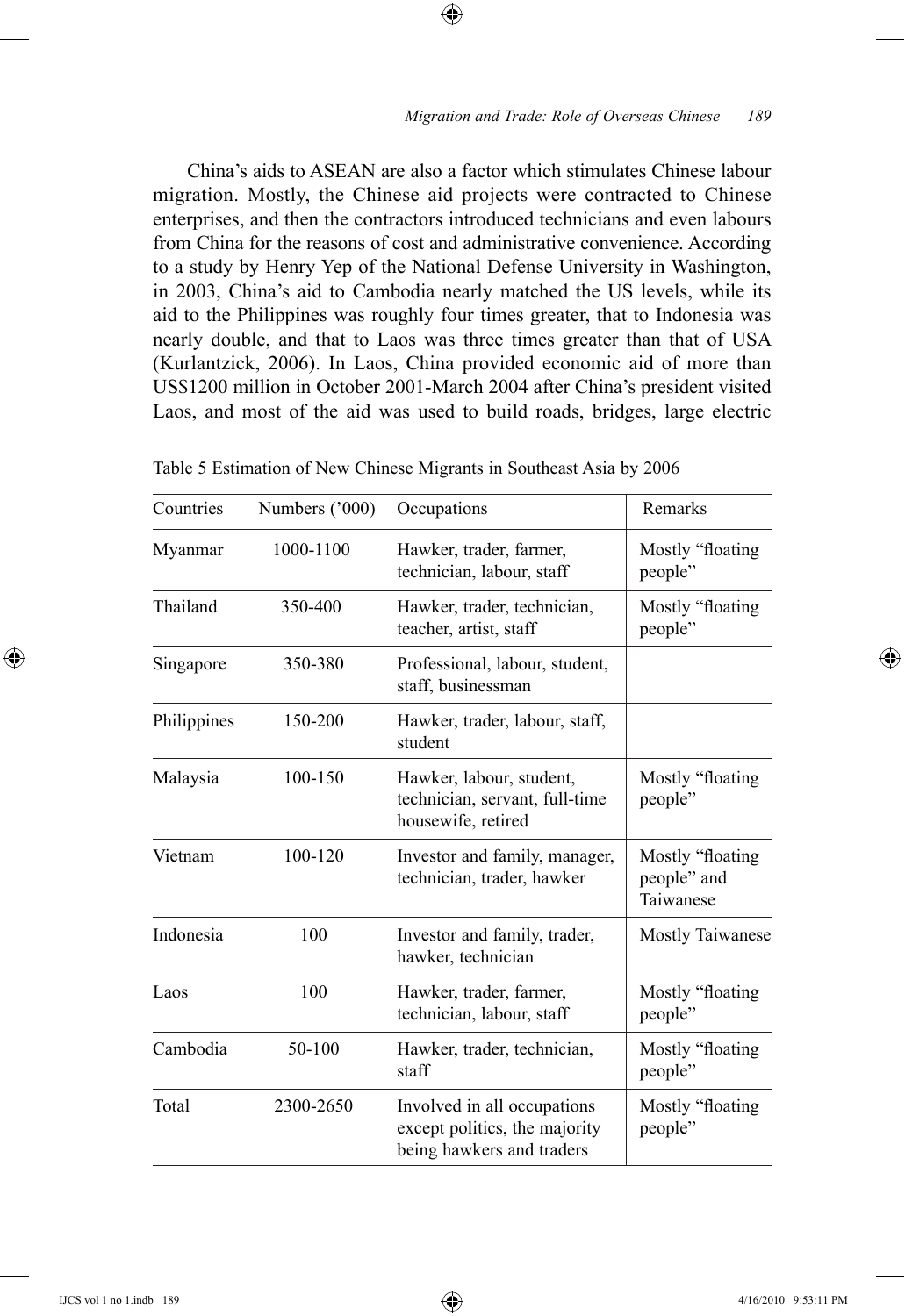China's aids to ASEAN are also a factor which stimulates Chinese labour migration. Mostly, the Chinese aid projects were contracted to Chinese enterprises, and then the contractors introduced technicians and even labours from China for the reasons of cost and administrative convenience. According to a study by Henry Yep of the National Defense University in Washington, in 2003, China's aid to Cambodia nearly matched the US levels, while its aid to the Philippines was roughly four times greater, that to Indonesia was nearly double, and that to Laos was three times greater than that of USA (Kurlantzick, 2006). In Laos, China provided economic aid of more than US\$1200 million in October 2001-March 2004 after China's president visited Laos, and most of the aid was used to build roads, bridges, large electric

⊕

| Countries   | Numbers ('000) | Occupations                                                                                                              | Remarks                                      |
|-------------|----------------|--------------------------------------------------------------------------------------------------------------------------|----------------------------------------------|
| Myanmar     | 1000-1100      | Hawker, trader, farmer,<br>technician, labour, staff                                                                     | Mostly "floating"<br>people"                 |
| Thailand    | 350-400        | Hawker, trader, technician,<br>teacher, artist, staff                                                                    | Mostly "floating<br>people"                  |
| Singapore   | 350-380        | Professional, labour, student,<br>staff, businessman                                                                     |                                              |
| Philippines | 150-200        | Hawker, trader, labour, staff,<br>student                                                                                |                                              |
| Malaysia    | 100-150        | Hawker, labour, student,<br>technician, servant, full-time<br>housewife, retired                                         | Mostly "floating<br>people"                  |
| Vietnam     | $100 - 120$    | Investor and family, manager,<br>technician, trader, hawker                                                              | Mostly "floating<br>people" and<br>Taiwanese |
| Indonesia   | 100            | Investor and family, trader,<br>hawker, technician                                                                       | <b>Mostly Taiwanese</b>                      |
| Laos        | 100            | Hawker, trader, farmer,<br>technician, labour, staff                                                                     | Mostly "floating"<br>people"                 |
| Cambodia    | 50-100         | Mostly "floating<br>Hawker, trader, technician,<br>staff<br>people"                                                      |                                              |
| Total       | 2300-2650      | Mostly "floating<br>Involved in all occupations<br>except politics, the majority<br>people"<br>being hawkers and traders |                                              |

| Table 5 Estimation of New Chinese Migrants in Southeast Asia by 2006 |  |  |
|----------------------------------------------------------------------|--|--|
|----------------------------------------------------------------------|--|--|

⊕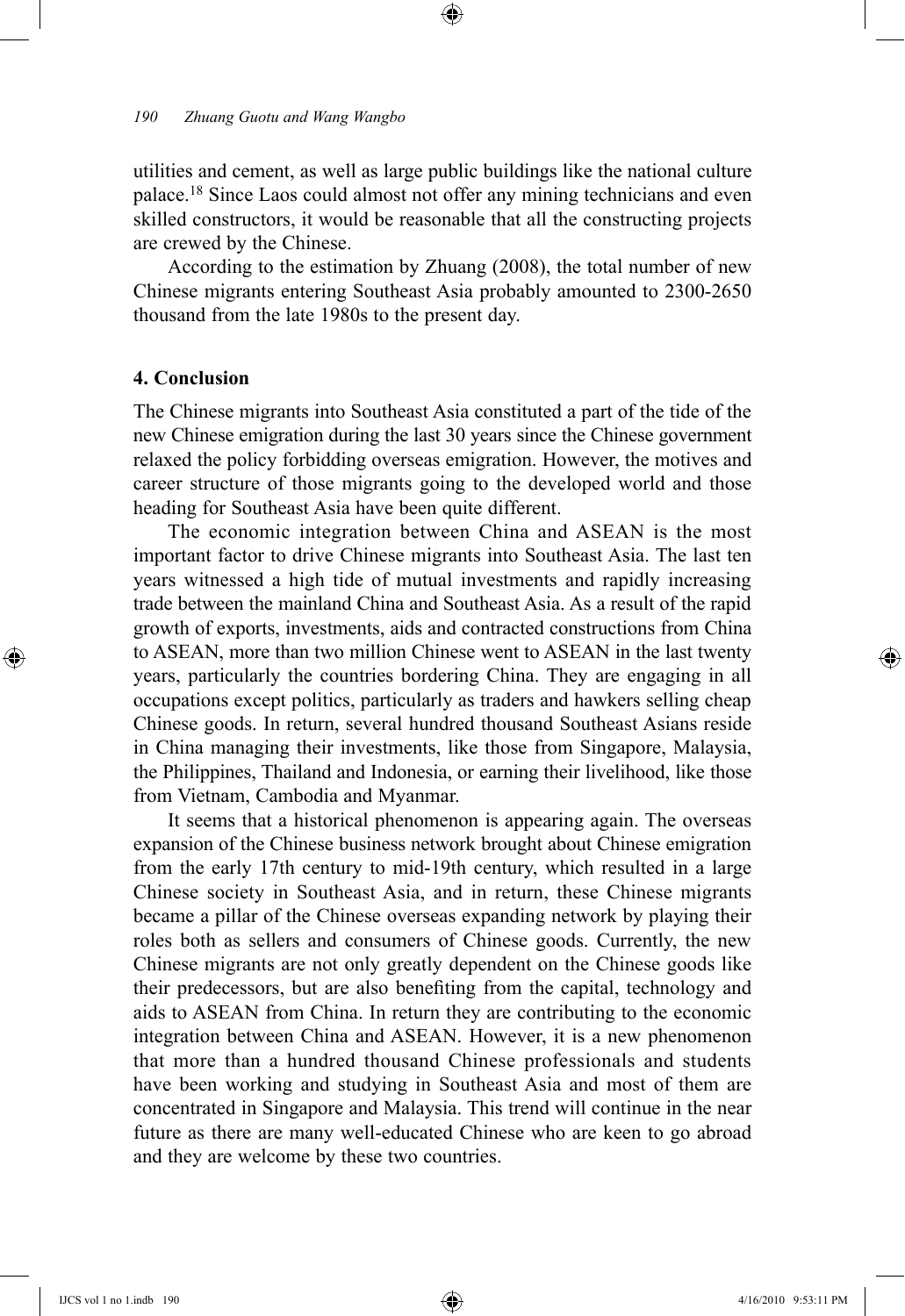utilities and cement, as well as large public buildings like the national culture palace.<sup>18</sup> Since Laos could almost not offer any mining technicians and even skilled constructors, it would be reasonable that all the constructing projects are crewed by the Chinese.

⊕

According to the estimation by Zhuang (2008), the total number of new Chinese migrants entering Southeast Asia probably amounted to 2300-2650 thousand from the late 1980s to the present day.

#### **4. Conclusion**

⊕

The Chinese migrants into Southeast Asia constituted a part of the tide of the new Chinese emigration during the last 30 years since the Chinese government relaxed the policy forbidding overseas emigration. However, the motives and career structure of those migrants going to the developed world and those heading for Southeast Asia have been quite different.

The economic integration between China and ASEAN is the most important factor to drive Chinese migrants into Southeast Asia. The last ten years witnessed a high tide of mutual investments and rapidly increasing trade between the mainland China and Southeast Asia. As a result of the rapid growth of exports, investments, aids and contracted constructions from China to ASEAN, more than two million Chinese went to ASEAN in the last twenty years, particularly the countries bordering China. They are engaging in all occupations except politics, particularly as traders and hawkers selling cheap Chinese goods. In return, several hundred thousand Southeast Asians reside in China managing their investments, like those from Singapore, Malaysia, the Philippines, Thailand and Indonesia, or earning their livelihood, like those from Vietnam, Cambodia and Myanmar.

It seems that a historical phenomenon is appearing again. The overseas expansion of the Chinese business network brought about Chinese emigration from the early 17th century to mid-19th century, which resulted in a large Chinese society in Southeast Asia, and in return, these Chinese migrants became a pillar of the Chinese overseas expanding network by playing their roles both as sellers and consumers of Chinese goods. Currently, the new Chinese migrants are not only greatly dependent on the Chinese goods like their predecessors, but are also benefiting from the capital, technology and aids to ASEAN from China. In return they are contributing to the economic integration between China and ASEAN. However, it is a new phenomenon that more than a hundred thousand Chinese professionals and students have been working and studying in Southeast Asia and most of them are concentrated in Singapore and Malaysia. This trend will continue in the near future as there are many well-educated Chinese who are keen to go abroad and they are welcome by these two countries.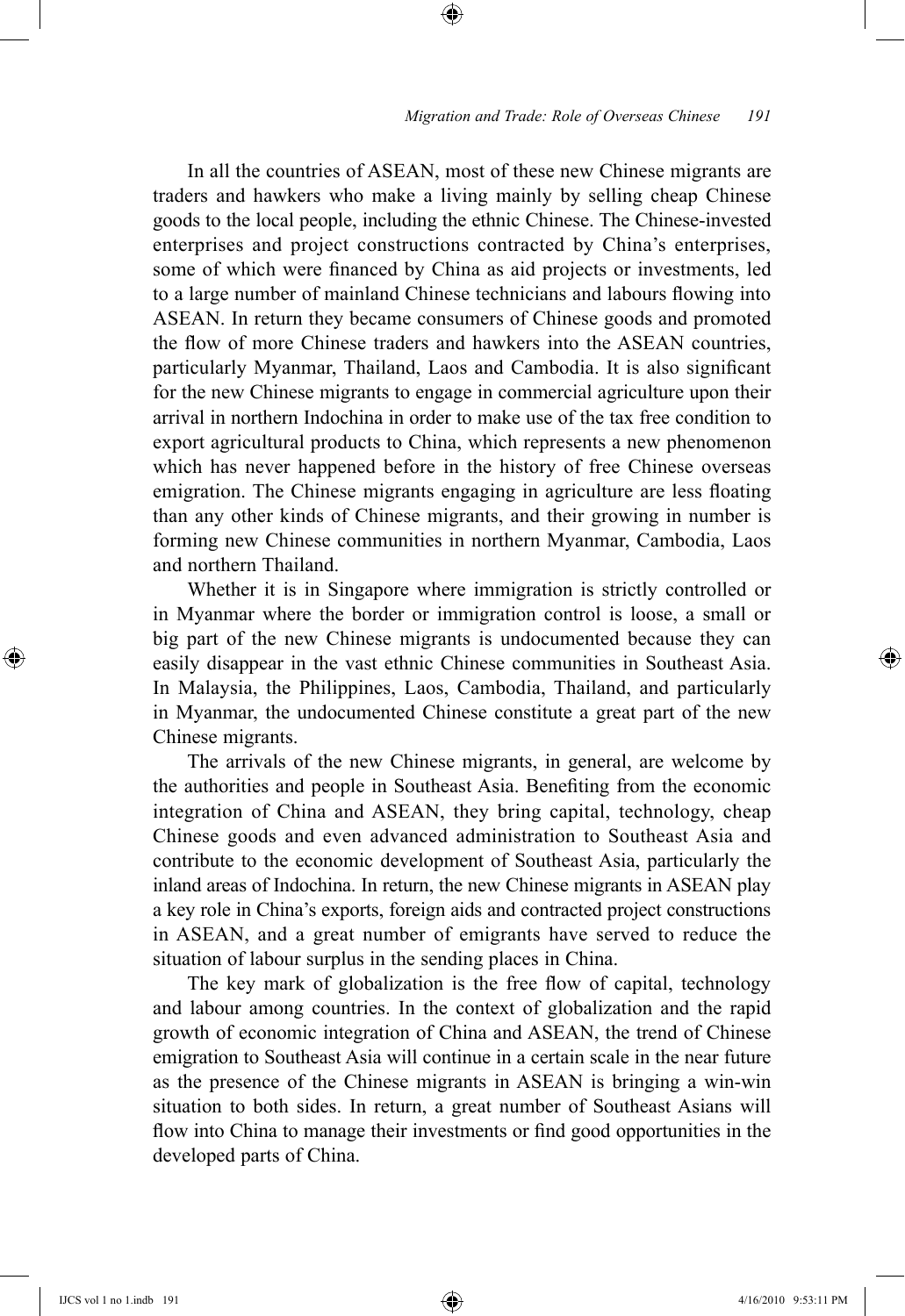In all the countries of ASEAN, most of these new Chinese migrants are traders and hawkers who make a living mainly by selling cheap Chinese goods to the local people, including the ethnic Chinese. The Chinese-invested enterprises and project constructions contracted by China's enterprises, some of which were financed by China as aid projects or investments, led to a large number of mainland Chinese technicians and labours flowing into ASEAN. In return they became consumers of Chinese goods and promoted the flow of more Chinese traders and hawkers into the ASEAN countries, particularly Myanmar, Thailand, Laos and Cambodia. It is also significant for the new Chinese migrants to engage in commercial agriculture upon their arrival in northern Indochina in order to make use of the tax free condition to export agricultural products to China, which represents a new phenomenon which has never happened before in the history of free Chinese overseas emigration. The Chinese migrants engaging in agriculture are less floating than any other kinds of Chinese migrants, and their growing in number is forming new Chinese communities in northern Myanmar, Cambodia, Laos and northern Thailand.

⊕

Whether it is in Singapore where immigration is strictly controlled or in Myanmar where the border or immigration control is loose, a small or big part of the new Chinese migrants is undocumented because they can easily disappear in the vast ethnic Chinese communities in Southeast Asia. In Malaysia, the Philippines, Laos, Cambodia, Thailand, and particularly in Myanmar, the undocumented Chinese constitute a great part of the new Chinese migrants.

The arrivals of the new Chinese migrants, in general, are welcome by the authorities and people in Southeast Asia. Benefiting from the economic integration of China and ASEAN, they bring capital, technology, cheap Chinese goods and even advanced administration to Southeast Asia and contribute to the economic development of Southeast Asia, particularly the inland areas of Indochina. In return, the new Chinese migrants in ASEAN play a key role in China's exports, foreign aids and contracted project constructions in ASEAN, and a great number of emigrants have served to reduce the situation of labour surplus in the sending places in China.

The key mark of globalization is the free flow of capital, technology and labour among countries. In the context of globalization and the rapid growth of economic integration of China and ASEAN, the trend of Chinese emigration to Southeast Asia will continue in a certain scale in the near future as the presence of the Chinese migrants in ASEAN is bringing a win-win situation to both sides. In return, a great number of Southeast Asians will flow into China to manage their investments or find good opportunities in the developed parts of China.

⊕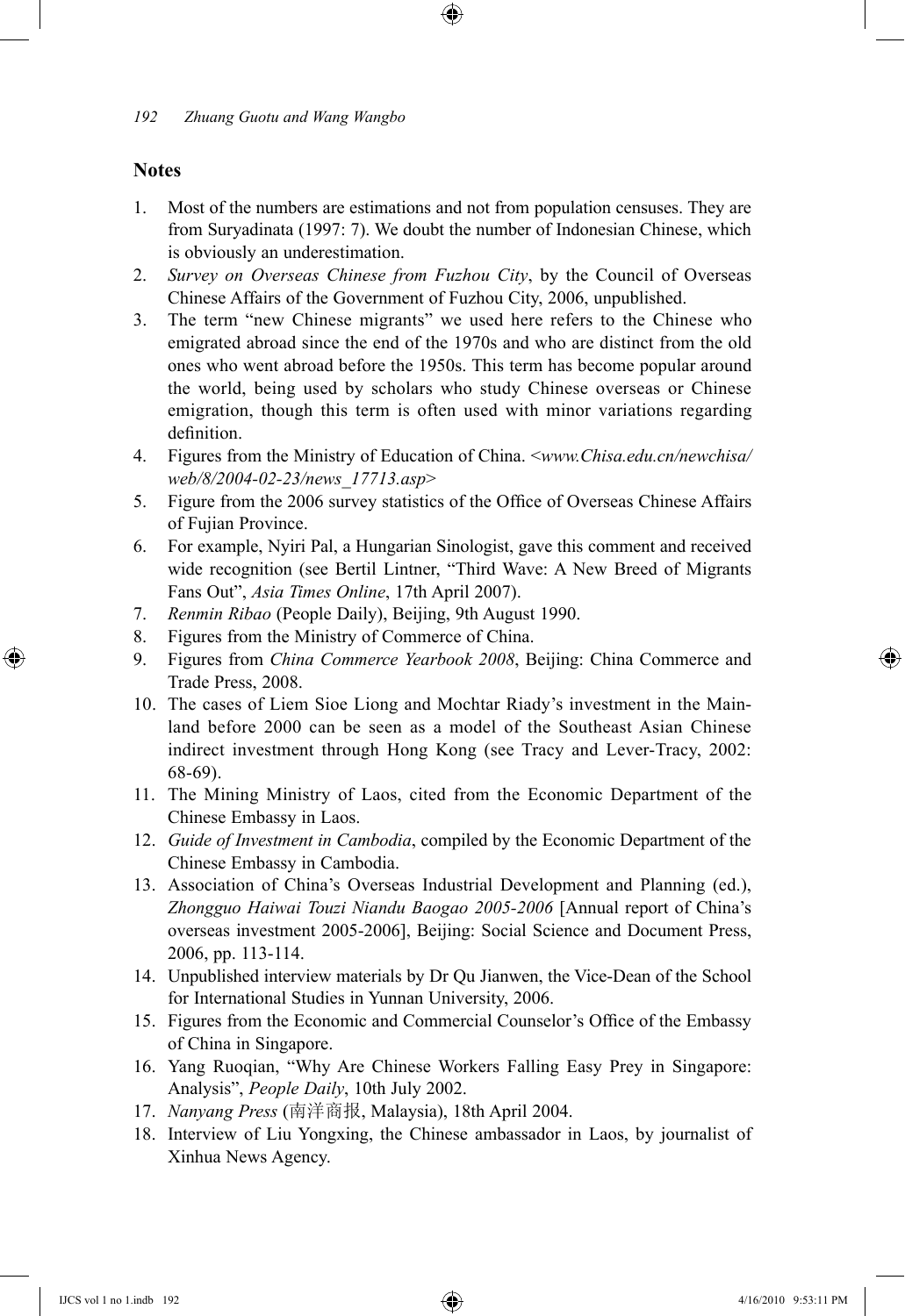## **Notes**

1. Most of the numbers are estimations and not from population censuses. They are from Suryadinata (1997: 7). We doubt the number of Indonesian Chinese, which is obviously an underestimation.

⊕

- 2. *Survey on Overseas Chinese from Fuzhou City*, by the Council of Overseas Chinese Affairs of the Government of Fuzhou City, 2006, unpublished.
- 3. The term "new Chinese migrants" we used here refers to the Chinese who emigrated abroad since the end of the 1970s and who are distinct from the old ones who went abroad before the 1950s. This term has become popular around the world, being used by scholars who study Chinese overseas or Chinese emigration, though this term is often used with minor variations regarding definition.
- 4. Figures from the Ministry of Education of China. <*www.Chisa.edu.cn/newchisa/ web/8/2004-02-23/news\_17713.asp*>
- 5. Figure from the 2006 survey statistics of the Office of Overseas Chinese Affairs of Fujian Province.
- 6. For example, Nyiri Pal, a Hungarian Sinologist, gave this comment and received wide recognition (see Bertil Lintner, "Third Wave: A New Breed of Migrants Fans Out", *Asia Times Online*, 17th April 2007).
- 7. *Renmin Ribao* (People Daily), Beijing, 9th August 1990.
- 8. Figures from the Ministry of Commerce of China.
- 9. Figures from *China Commerce Yearbook 2008*, Beijing: China Commerce and Trade Press, 2008.
- 10. The cases of Liem Sioe Liong and Mochtar Riady's investment in the Mainland before 2000 can be seen as a model of the Southeast Asian Chinese indirect investment through Hong Kong (see Tracy and Lever-Tracy, 2002: 68-69).
- 11. The Mining Ministry of Laos, cited from the Economic Department of the Chinese Embassy in Laos.
- 12. *Guide of Investment in Cambodia*, compiled by the Economic Department of the Chinese Embassy in Cambodia.
- 13. Association of China's Overseas Industrial Development and Planning (ed.), *Zhongguo Haiwai Touzi Niandu Baogao 2005-2006* [Annual report of China's overseas investment 2005-2006], Beijing: Social Science and Document Press, 2006, pp. 113-114.
- 14. Unpublished interview materials by Dr Qu Jianwen, the Vice-Dean of the School for International Studies in Yunnan University, 2006.
- 15. Figures from the Economic and Commercial Counselor's Office of the Embassy of China in Singapore.
- 16. Yang Ruoqian, "Why Are Chinese Workers Falling Easy Prey in Singapore: Analysis", *People Daily*, 10th July 2002.
- 17. *Nanyang Press* (南洋商报, Malaysia), 18th April 2004.
- 18. Interview of Liu Yongxing, the Chinese ambassador in Laos, by journalist of Xinhua News Agency.

 $\bigoplus$